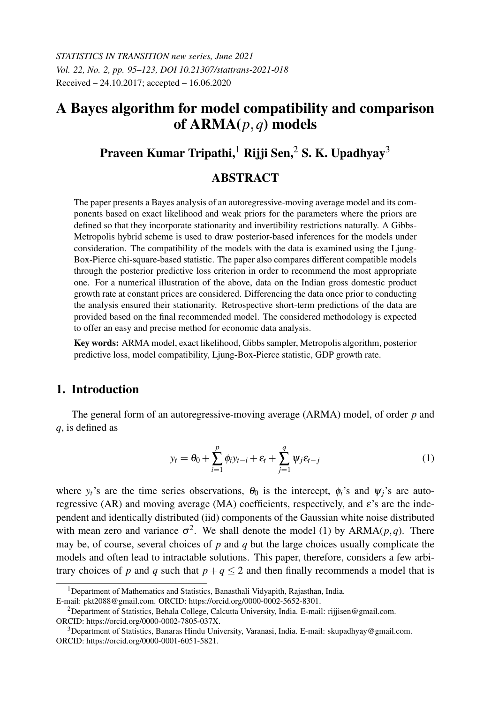# A Bayes algorithm for model compatibility and comparison of ARMA(*p*,*q*) models

# Praveen Kumar Tripathi,<sup>1</sup> Rijji Sen,<sup>2</sup> S. K. Upadhyay<sup>3</sup>

# ABSTRACT

The paper presents a Bayes analysis of an autoregressive-moving average model and its components based on exact likelihood and weak priors for the parameters where the priors are defined so that they incorporate stationarity and invertibility restrictions naturally. A Gibbs-Metropolis hybrid scheme is used to draw posterior-based inferences for the models under consideration. The compatibility of the models with the data is examined using the Ljung-Box-Pierce chi-square-based statistic. The paper also compares different compatible models through the posterior predictive loss criterion in order to recommend the most appropriate one. For a numerical illustration of the above, data on the Indian gross domestic product growth rate at constant prices are considered. Differencing the data once prior to conducting the analysis ensured their stationarity. Retrospective short-term predictions of the data are provided based on the final recommended model. The considered methodology is expected to offer an easy and precise method for economic data analysis.

Key words: ARMA model, exact likelihood, Gibbs sampler, Metropolis algorithm, posterior predictive loss, model compatibility, Ljung-Box-Pierce statistic, GDP growth rate.

### 1. Introduction

The general form of an autoregressive-moving average (ARMA) model, of order *p* and *q*, is defined as

$$
y_t = \theta_0 + \sum_{i=1}^p \phi_i y_{t-i} + \varepsilon_t + \sum_{j=1}^q \psi_j \varepsilon_{t-j}
$$
 (1)

where  $y_t$ 's are the time series observations,  $\theta_0$  is the intercept,  $\phi_i$ 's and  $\psi_i$ 's are autoregressive (AR) and moving average (MA) coefficients, respectively, and  $\varepsilon$ 's are the independent and identically distributed (iid) components of the Gaussian white noise distributed with mean zero and variance  $\sigma^2$ . We shall denote the model (1) by ARMA(*p*,*q*). There may be, of course, several choices of *p* and *q* but the large choices usually complicate the models and often lead to intractable solutions. This paper, therefore, considers a few arbitrary choices of *p* and *q* such that  $p+q \leq 2$  and then finally recommends a model that is

<sup>&</sup>lt;sup>1</sup>Department of Mathematics and Statistics, Banasthali Vidyapith, Rajasthan, India.

E-mail: pkt2088@gmail.com. ORCID: https://orcid.org/0000-0002-5652-8301.

<sup>&</sup>lt;sup>2</sup>Department of Statistics, Behala College, Calcutta University, India. E-mail: rijjisen@gmail.com. ORCID: https://orcid.org/0000-0002-7805-037X.

<sup>&</sup>lt;sup>3</sup>Department of Statistics, Banaras Hindu University, Varanasi, India. E-mail: skupadhyay@gmail.com. ORCID: https://orcid.org/0000-0001-6051-5821.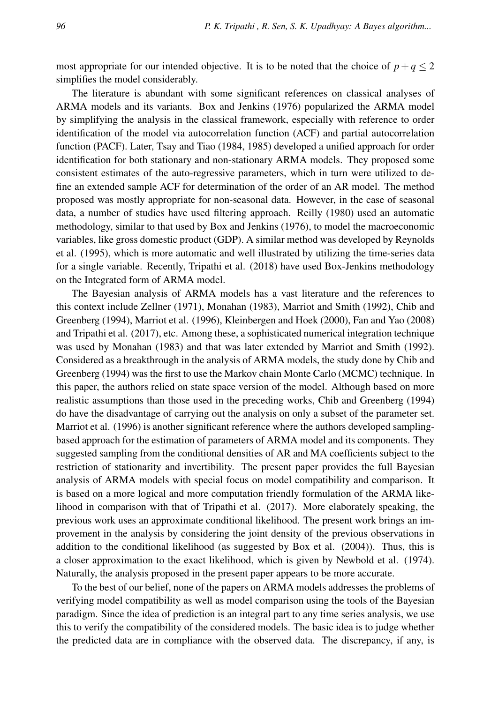most appropriate for our intended objective. It is to be noted that the choice of  $p + q \leq 2$ simplifies the model considerably.

The literature is abundant with some significant references on classical analyses of ARMA models and its variants. Box and Jenkins (1976) popularized the ARMA model by simplifying the analysis in the classical framework, especially with reference to order identification of the model via autocorrelation function (ACF) and partial autocorrelation function (PACF). Later, Tsay and Tiao (1984, 1985) developed a unified approach for order identification for both stationary and non-stationary ARMA models. They proposed some consistent estimates of the auto-regressive parameters, which in turn were utilized to define an extended sample ACF for determination of the order of an AR model. The method proposed was mostly appropriate for non-seasonal data. However, in the case of seasonal data, a number of studies have used filtering approach. Reilly (1980) used an automatic methodology, similar to that used by Box and Jenkins (1976), to model the macroeconomic variables, like gross domestic product (GDP). A similar method was developed by Reynolds et al. (1995), which is more automatic and well illustrated by utilizing the time-series data for a single variable. Recently, Tripathi et al. (2018) have used Box-Jenkins methodology on the Integrated form of ARMA model.

The Bayesian analysis of ARMA models has a vast literature and the references to this context include Zellner (1971), Monahan (1983), Marriot and Smith (1992), Chib and Greenberg (1994), Marriot et al. (1996), Kleinbergen and Hoek (2000), Fan and Yao (2008) and Tripathi et al. (2017), etc. Among these, a sophisticated numerical integration technique was used by Monahan (1983) and that was later extended by Marriot and Smith (1992). Considered as a breakthrough in the analysis of ARMA models, the study done by Chib and Greenberg (1994) was the first to use the Markov chain Monte Carlo (MCMC) technique. In this paper, the authors relied on state space version of the model. Although based on more realistic assumptions than those used in the preceding works, Chib and Greenberg (1994) do have the disadvantage of carrying out the analysis on only a subset of the parameter set. Marriot et al. (1996) is another significant reference where the authors developed samplingbased approach for the estimation of parameters of ARMA model and its components. They suggested sampling from the conditional densities of AR and MA coefficients subject to the restriction of stationarity and invertibility. The present paper provides the full Bayesian analysis of ARMA models with special focus on model compatibility and comparison. It is based on a more logical and more computation friendly formulation of the ARMA likelihood in comparison with that of Tripathi et al. (2017). More elaborately speaking, the previous work uses an approximate conditional likelihood. The present work brings an improvement in the analysis by considering the joint density of the previous observations in addition to the conditional likelihood (as suggested by Box et al. (2004)). Thus, this is a closer approximation to the exact likelihood, which is given by Newbold et al. (1974). Naturally, the analysis proposed in the present paper appears to be more accurate.

To the best of our belief, none of the papers on ARMA models addresses the problems of verifying model compatibility as well as model comparison using the tools of the Bayesian paradigm. Since the idea of prediction is an integral part to any time series analysis, we use this to verify the compatibility of the considered models. The basic idea is to judge whether the predicted data are in compliance with the observed data. The discrepancy, if any, is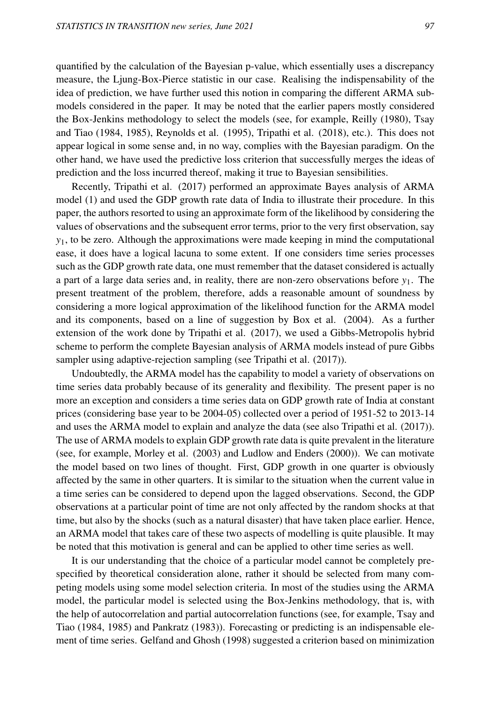quantified by the calculation of the Bayesian p-value, which essentially uses a discrepancy measure, the Ljung-Box-Pierce statistic in our case. Realising the indispensability of the idea of prediction, we have further used this notion in comparing the different ARMA submodels considered in the paper. It may be noted that the earlier papers mostly considered the Box-Jenkins methodology to select the models (see, for example, Reilly (1980), Tsay and Tiao (1984, 1985), Reynolds et al. (1995), Tripathi et al. (2018), etc.). This does not appear logical in some sense and, in no way, complies with the Bayesian paradigm. On the other hand, we have used the predictive loss criterion that successfully merges the ideas of prediction and the loss incurred thereof, making it true to Bayesian sensibilities.

Recently, Tripathi et al. (2017) performed an approximate Bayes analysis of ARMA model (1) and used the GDP growth rate data of India to illustrate their procedure. In this paper, the authors resorted to using an approximate form of the likelihood by considering the values of observations and the subsequent error terms, prior to the very first observation, say  $y_1$ , to be zero. Although the approximations were made keeping in mind the computational ease, it does have a logical lacuna to some extent. If one considers time series processes such as the GDP growth rate data, one must remember that the dataset considered is actually a part of a large data series and, in reality, there are non-zero observations before *y*1. The present treatment of the problem, therefore, adds a reasonable amount of soundness by considering a more logical approximation of the likelihood function for the ARMA model and its components, based on a line of suggestion by Box et al. (2004). As a further extension of the work done by Tripathi et al. (2017), we used a Gibbs-Metropolis hybrid scheme to perform the complete Bayesian analysis of ARMA models instead of pure Gibbs sampler using adaptive-rejection sampling (see Tripathi et al. (2017)).

Undoubtedly, the ARMA model has the capability to model a variety of observations on time series data probably because of its generality and flexibility. The present paper is no more an exception and considers a time series data on GDP growth rate of India at constant prices (considering base year to be 2004-05) collected over a period of 1951-52 to 2013-14 and uses the ARMA model to explain and analyze the data (see also Tripathi et al. (2017)). The use of ARMA models to explain GDP growth rate data is quite prevalent in the literature (see, for example, Morley et al. (2003) and Ludlow and Enders (2000)). We can motivate the model based on two lines of thought. First, GDP growth in one quarter is obviously affected by the same in other quarters. It is similar to the situation when the current value in a time series can be considered to depend upon the lagged observations. Second, the GDP observations at a particular point of time are not only affected by the random shocks at that time, but also by the shocks (such as a natural disaster) that have taken place earlier. Hence, an ARMA model that takes care of these two aspects of modelling is quite plausible. It may be noted that this motivation is general and can be applied to other time series as well.

It is our understanding that the choice of a particular model cannot be completely prespecified by theoretical consideration alone, rather it should be selected from many competing models using some model selection criteria. In most of the studies using the ARMA model, the particular model is selected using the Box-Jenkins methodology, that is, with the help of autocorrelation and partial autocorrelation functions (see, for example, Tsay and Tiao (1984, 1985) and Pankratz (1983)). Forecasting or predicting is an indispensable element of time series. Gelfand and Ghosh (1998) suggested a criterion based on minimization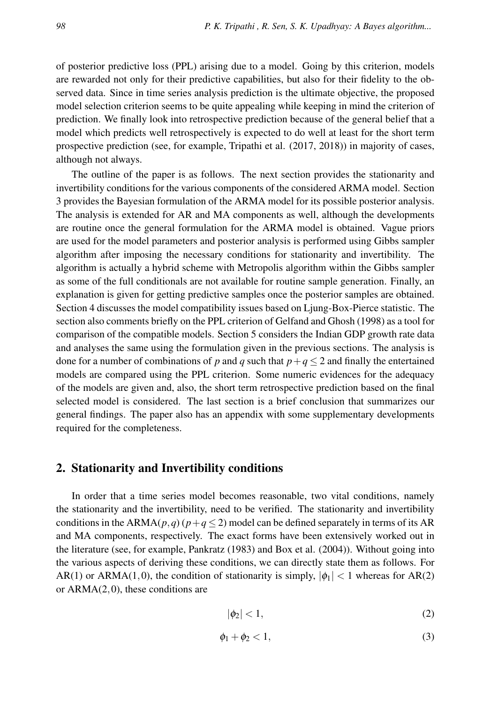of posterior predictive loss (PPL) arising due to a model. Going by this criterion, models are rewarded not only for their predictive capabilities, but also for their fidelity to the observed data. Since in time series analysis prediction is the ultimate objective, the proposed model selection criterion seems to be quite appealing while keeping in mind the criterion of prediction. We finally look into retrospective prediction because of the general belief that a model which predicts well retrospectively is expected to do well at least for the short term prospective prediction (see, for example, Tripathi et al. (2017, 2018)) in majority of cases, although not always.

The outline of the paper is as follows. The next section provides the stationarity and invertibility conditions for the various components of the considered ARMA model. Section 3 provides the Bayesian formulation of the ARMA model for its possible posterior analysis. The analysis is extended for AR and MA components as well, although the developments are routine once the general formulation for the ARMA model is obtained. Vague priors are used for the model parameters and posterior analysis is performed using Gibbs sampler algorithm after imposing the necessary conditions for stationarity and invertibility. The algorithm is actually a hybrid scheme with Metropolis algorithm within the Gibbs sampler as some of the full conditionals are not available for routine sample generation. Finally, an explanation is given for getting predictive samples once the posterior samples are obtained. Section 4 discusses the model compatibility issues based on Ljung-Box-Pierce statistic. The section also comments briefly on the PPL criterion of Gelfand and Ghosh (1998) as a tool for comparison of the compatible models. Section 5 considers the Indian GDP growth rate data and analyses the same using the formulation given in the previous sections. The analysis is done for a number of combinations of *p* and *q* such that  $p+q \leq 2$  and finally the entertained models are compared using the PPL criterion. Some numeric evidences for the adequacy of the models are given and, also, the short term retrospective prediction based on the final selected model is considered. The last section is a brief conclusion that summarizes our general findings. The paper also has an appendix with some supplementary developments required for the completeness.

### 2. Stationarity and Invertibility conditions

In order that a time series model becomes reasonable, two vital conditions, namely the stationarity and the invertibility, need to be verified. The stationarity and invertibility conditions in the ARMA( $p$ , $q$ ) ( $p+q \le 2$ ) model can be defined separately in terms of its AR and MA components, respectively. The exact forms have been extensively worked out in the literature (see, for example, Pankratz (1983) and Box et al. (2004)). Without going into the various aspects of deriving these conditions, we can directly state them as follows. For AR(1) or ARMA(1,0), the condition of stationarity is simply,  $|\phi_1| < 1$  whereas for AR(2) or  $ARMA(2,0)$ , these conditions are

$$
|\phi_2| < 1,\tag{2}
$$

$$
\phi_1 + \phi_2 < 1,\tag{3}
$$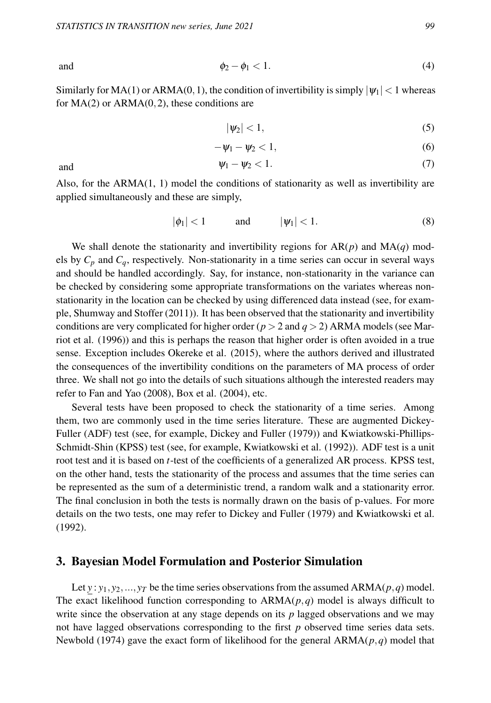and 
$$
\phi_2 - \phi_1 < 1. \tag{4}
$$

Similarly for MA(1) or ARMA(0, 1), the condition of invertibility is simply  $|\psi_1|$  < 1 whereas for  $MA(2)$  or  $ARMA(0,2)$ , these conditions are

$$
|\psi_2|<1,\t\t(5)
$$

$$
-\psi_1 - \psi_2 < 1,\tag{6}
$$
\n
$$
\psi_1 - \psi_2 < 1.\tag{7}
$$

Also, for the  $ARMA(1, 1)$  model the conditions of stationarity as well as invertibility are applied simultaneously and these are simply,

$$
|\phi_1| < 1 \qquad \text{and} \qquad |\psi_1| < 1. \tag{8}
$$

We shall denote the stationarity and invertibility regions for  $AR(p)$  and  $MA(q)$  models by  $C_p$  and  $C_q$ , respectively. Non-stationarity in a time series can occur in several ways and should be handled accordingly. Say, for instance, non-stationarity in the variance can be checked by considering some appropriate transformations on the variates whereas nonstationarity in the location can be checked by using differenced data instead (see, for example, Shumway and Stoffer (2011)). It has been observed that the stationarity and invertibility conditions are very complicated for higher order ( $p > 2$  and  $q > 2$ ) ARMA models (see Marriot et al. (1996)) and this is perhaps the reason that higher order is often avoided in a true sense. Exception includes Okereke et al. (2015), where the authors derived and illustrated the consequences of the invertibility conditions on the parameters of MA process of order three. We shall not go into the details of such situations although the interested readers may refer to Fan and Yao (2008), Box et al. (2004), etc.

Several tests have been proposed to check the stationarity of a time series. Among them, two are commonly used in the time series literature. These are augmented Dickey-Fuller (ADF) test (see, for example, Dickey and Fuller (1979)) and Kwiatkowski-Phillips-Schmidt-Shin (KPSS) test (see, for example, Kwiatkowski et al. (1992)). ADF test is a unit root test and it is based on *t*-test of the coefficients of a generalized AR process. KPSS test, on the other hand, tests the stationarity of the process and assumes that the time series can be represented as the sum of a deterministic trend, a random walk and a stationarity error. The final conclusion in both the tests is normally drawn on the basis of p-values. For more details on the two tests, one may refer to Dickey and Fuller (1979) and Kwiatkowski et al. (1992).

#### 3. Bayesian Model Formulation and Posterior Simulation

Let  $y$ :  $y_1$ ,  $y_2$ , ...,  $y_T$  be the time series observations from the assumed ARMA( $p$ , $q$ ) model. The exact likelihood function corresponding to ARMA(*p*,*q*) model is always difficult to write since the observation at any stage depends on its *p* lagged observations and we may not have lagged observations corresponding to the first *p* observed time series data sets. Newbold (1974) gave the exact form of likelihood for the general ARMA(*p*,*q*) model that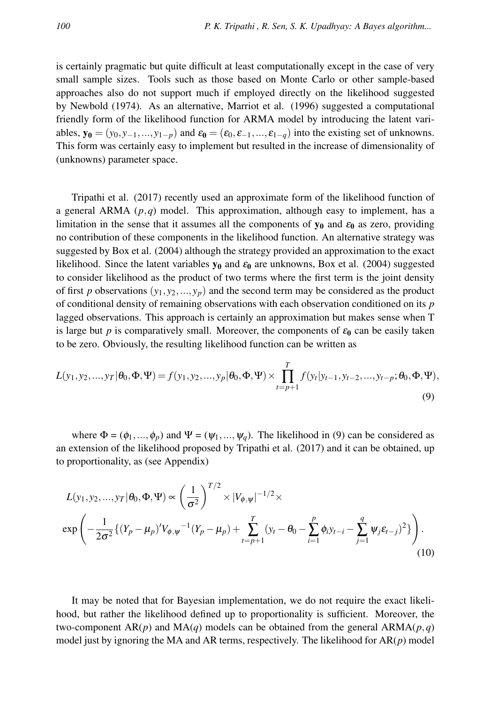is certainly pragmatic but quite difficult at least computationally except in the case of very small sample sizes. Tools such as those based on Monte Carlo or other sample-based approaches also do not support much if employed directly on the likelihood suggested by Newbold (1974). As an alternative, Marriot et al. (1996) suggested a computational friendly form of the likelihood function for ARMA model by introducing the latent variables,  $y_0 = (y_0, y_{-1},..., y_{1-p})$  and  $\varepsilon_0 = (\varepsilon_0, \varepsilon_{-1},..., \varepsilon_{1-q})$  into the existing set of unknowns. This form was certainly easy to implement but resulted in the increase of dimensionality of (unknowns) parameter space.

Tripathi et al. (2017) recently used an approximate form of the likelihood function of a general ARMA  $(p,q)$  model. This approximation, although easy to implement, has a limitation in the sense that it assumes all the components of  $y_0$  and  $\varepsilon_0$  as zero, providing no contribution of these components in the likelihood function. An alternative strategy was suggested by Box et al. (2004) although the strategy provided an approximation to the exact likelihood. Since the latent variables  $y_0$  and  $\varepsilon_0$  are unknowns, Box et al. (2004) suggested to consider likelihood as the product of two terms where the first term is the joint density of first *p* observations  $(y_1, y_2, ..., y_p)$  and the second term may be considered as the product of conditional density of remaining observations with each observation conditioned on its *p* lagged observations. This approach is certainly an approximation but makes sense when T is large but  $p$  is comparatively small. Moreover, the components of  $\varepsilon_0$  can be easily taken to be zero. Obviously, the resulting likelihood function can be written as

$$
L(y_1, y_2, ..., y_T | \theta_0, \Phi, \Psi) = f(y_1, y_2, ..., y_p | \theta_0, \Phi, \Psi) \times \prod_{t=p+1}^{T} f(y_t | y_{t-1}, y_{t-2}, ..., y_{t-p}; \theta_0, \Phi, \Psi),
$$
\n(9)

where  $\Phi = (\phi_1, ..., \phi_p)$  and  $\Psi = (\psi_1, ..., \psi_q)$ . The likelihood in (9) can be considered as an extension of the likelihood proposed by Tripathi et al. (2017) and it can be obtained, up to proportionality, as (see Appendix)

$$
L(y_1, y_2, ..., y_T | \theta_0, \Phi, \Psi) \propto \left(\frac{1}{\sigma^2}\right)^{T/2} \times |V_{\phi, \psi}|^{-1/2} \times
$$
  
\n
$$
\exp\left(-\frac{1}{2\sigma^2} \{ (Y_p - \mu_p)' V_{\phi, \psi}^{-1} (Y_p - \mu_p) + \sum_{t=p+1}^T (y_t - \theta_0 - \sum_{i=1}^p \phi_i y_{t-i} - \sum_{j=1}^q \psi_j \varepsilon_{t-j})^2 \} \right).
$$
\n(10)

It may be noted that for Bayesian implementation, we do not require the exact likelihood, but rather the likelihood defined up to proportionality is sufficient. Moreover, the two-component  $AR(p)$  and  $MA(q)$  models can be obtained from the general  $ARMA(p,q)$ model just by ignoring the MA and AR terms, respectively. The likelihood for AR(*p*) model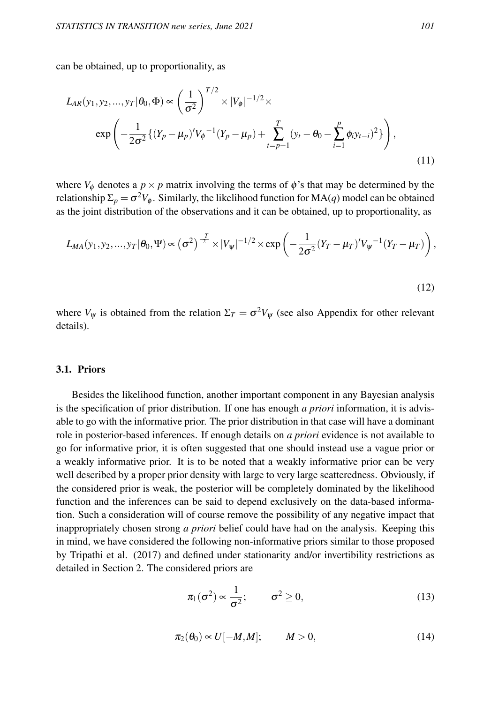can be obtained, up to proportionality, as

$$
L_{AR}(y_1, y_2, ..., y_T | \theta_0, \Phi) \propto \left(\frac{1}{\sigma^2}\right)^{T/2} \times |V_{\phi}|^{-1/2} \times
$$
  
\n
$$
\exp\left(-\frac{1}{2\sigma^2}\left\{(Y_p - \mu_p)'V_{\phi}^{-1}(Y_p - \mu_p) + \sum_{t=p+1}^T (y_t - \theta_0 - \sum_{i=1}^p \phi_i y_{t-i})^2\right\}\right),
$$
\n(11)

where  $V_{\phi}$  denotes a  $p \times p$  matrix involving the terms of  $\phi$ 's that may be determined by the relationship  $\Sigma_p = \sigma^2 V_\phi$ . Similarly, the likelihood function for MA(*q*) model can be obtained as the joint distribution of the observations and it can be obtained, up to proportionality, as

$$
L_{MA}(y_1,y_2,...,y_T|\theta_0,\Psi)\propto (\sigma^2)^{\frac{-T}{2}}\times |V_{\Psi}|^{-1/2}\times \exp\left(-\frac{1}{2\sigma^2}(Y_T-\mu_T)'V_{\Psi}^{-1}(Y_T-\mu_T)\right),
$$

where  $V_{\psi}$  is obtained from the relation  $\Sigma_T = \sigma^2 V_{\psi}$  (see also Appendix for other relevant details).

#### 3.1. Priors

Besides the likelihood function, another important component in any Bayesian analysis is the specification of prior distribution. If one has enough *a priori* information, it is advisable to go with the informative prior. The prior distribution in that case will have a dominant role in posterior-based inferences. If enough details on *a priori* evidence is not available to go for informative prior, it is often suggested that one should instead use a vague prior or a weakly informative prior. It is to be noted that a weakly informative prior can be very well described by a proper prior density with large to very large scatteredness. Obviously, if the considered prior is weak, the posterior will be completely dominated by the likelihood function and the inferences can be said to depend exclusively on the data-based information. Such a consideration will of course remove the possibility of any negative impact that inappropriately chosen strong *a priori* belief could have had on the analysis. Keeping this in mind, we have considered the following non-informative priors similar to those proposed by Tripathi et al. (2017) and defined under stationarity and/or invertibility restrictions as detailed in Section 2. The considered priors are

$$
\pi_1(\sigma^2) \propto \frac{1}{\sigma^2}; \qquad \sigma^2 \ge 0,
$$
\n(13)

$$
\pi_2(\theta_0) \propto U[-M, M]; \qquad M > 0,
$$
\n(14)

(12)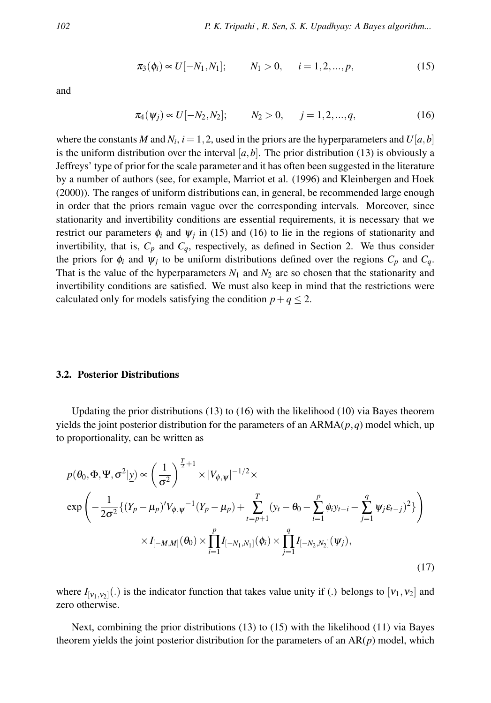$$
\pi_3(\phi_i) \propto U[-N_1, N_1]; \qquad N_1 > 0, \qquad i = 1, 2, ..., p,
$$
\n(15)

and

$$
\pi_4(\psi_j) \propto U[-N_2, N_2]; \qquad N_2 > 0, \qquad j = 1, 2, ..., q,
$$
\n(16)

where the constants *M* and  $N_i$ ,  $i = 1, 2$ , used in the priors are the hyperparameters and  $U[a, b]$ is the uniform distribution over the interval  $[a, b]$ . The prior distribution (13) is obviously a Jeffreys' type of prior for the scale parameter and it has often been suggested in the literature by a number of authors (see, for example, Marriot et al. (1996) and Kleinbergen and Hoek (2000)). The ranges of uniform distributions can, in general, be recommended large enough in order that the priors remain vague over the corresponding intervals. Moreover, since stationarity and invertibility conditions are essential requirements, it is necessary that we restrict our parameters  $\phi_i$  and  $\psi_j$  in (15) and (16) to lie in the regions of stationarity and invertibility, that is,  $C_p$  and  $C_q$ , respectively, as defined in Section 2. We thus consider the priors for  $\phi_i$  and  $\psi_j$  to be uniform distributions defined over the regions  $C_p$  and  $C_q$ . That is the value of the hyperparameters  $N_1$  and  $N_2$  are so chosen that the stationarity and invertibility conditions are satisfied. We must also keep in mind that the restrictions were calculated only for models satisfying the condition  $p + q \leq 2$ .

#### 3.2. Posterior Distributions

Updating the prior distributions (13) to (16) with the likelihood (10) via Bayes theorem yields the joint posterior distribution for the parameters of an  $ARMA(p,q)$  model which, up to proportionality, can be written as

$$
p(\theta_0, \Phi, \Psi, \sigma^2 | \underline{y}) \propto \left(\frac{1}{\sigma^2}\right)^{\frac{T}{2}+1} \times |V_{\phi, \Psi}|^{-1/2} \times
$$
  
\n
$$
\exp\left(-\frac{1}{2\sigma^2} \{ (Y_p - \mu_p)' V_{\phi, \Psi}^{-1} (Y_p - \mu_p) + \sum_{t=p+1}^T (y_t - \theta_0 - \sum_{i=1}^p \phi_i y_{t-i} - \sum_{j=1}^q \psi_j \varepsilon_{t-j})^2 \} \right)
$$
  
\n
$$
\times I_{[-M,M]}(\theta_0) \times \prod_{i=1}^p I_{[-N_1,N_1]}(\phi_i) \times \prod_{j=1}^q I_{[-N_2,N_2]}(\Psi_j),
$$
\n(17)

where  $I_{[v_1, v_2]}(.)$  is the indicator function that takes value unity if (.) belongs to  $[v_1, v_2]$  and zero otherwise.

Next, combining the prior distributions (13) to (15) with the likelihood (11) via Bayes theorem yields the joint posterior distribution for the parameters of an AR(*p*) model, which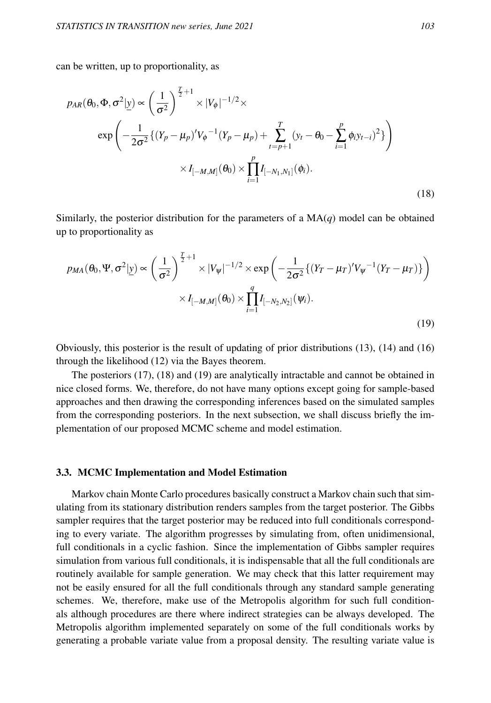can be written, up to proportionality, as

$$
p_{AR}(\theta_0, \Phi, \sigma^2 | \underline{y}) \propto \left(\frac{1}{\sigma^2}\right)^{\frac{T}{2}+1} \times |V_{\phi}|^{-1/2} \times
$$
  
\n
$$
\exp\left(-\frac{1}{2\sigma^2} \{ (Y_p - \mu_p)' V_{\phi}^{-1} (Y_p - \mu_p) + \sum_{t=p+1}^{T} (y_t - \theta_0 - \sum_{i=1}^{p} \phi_i y_{t-i})^2 \} \right)
$$
  
\n
$$
\times I_{[-M,M]}(\theta_0) \times \prod_{i=1}^{p} I_{[-N_1,N_1]}(\phi_i).
$$
\n(18)

Similarly, the posterior distribution for the parameters of a MA(*q*) model can be obtained up to proportionality as

$$
p_{MA}(\theta_0, \Psi, \sigma^2 | \underline{y}) \propto \left(\frac{1}{\sigma^2}\right)^{\frac{T}{2}+1} \times |V_{\Psi}|^{-1/2} \times \exp\left(-\frac{1}{2\sigma^2} \{ (Y_T - \mu_T)' V_{\Psi}^{-1} (Y_T - \mu_T) \} \right) \times I_{[-M,M]}(\theta_0) \times \prod_{i=1}^q I_{[-N_2, N_2]}(\Psi_i).
$$
\n(19)

Obviously, this posterior is the result of updating of prior distributions (13), (14) and (16) through the likelihood (12) via the Bayes theorem.

The posteriors (17), (18) and (19) are analytically intractable and cannot be obtained in nice closed forms. We, therefore, do not have many options except going for sample-based approaches and then drawing the corresponding inferences based on the simulated samples from the corresponding posteriors. In the next subsection, we shall discuss briefly the implementation of our proposed MCMC scheme and model estimation.

#### 3.3. MCMC Implementation and Model Estimation

Markov chain Monte Carlo procedures basically construct a Markov chain such that simulating from its stationary distribution renders samples from the target posterior. The Gibbs sampler requires that the target posterior may be reduced into full conditionals corresponding to every variate. The algorithm progresses by simulating from, often unidimensional, full conditionals in a cyclic fashion. Since the implementation of Gibbs sampler requires simulation from various full conditionals, it is indispensable that all the full conditionals are routinely available for sample generation. We may check that this latter requirement may not be easily ensured for all the full conditionals through any standard sample generating schemes. We, therefore, make use of the Metropolis algorithm for such full conditionals although procedures are there where indirect strategies can be always developed. The Metropolis algorithm implemented separately on some of the full conditionals works by generating a probable variate value from a proposal density. The resulting variate value is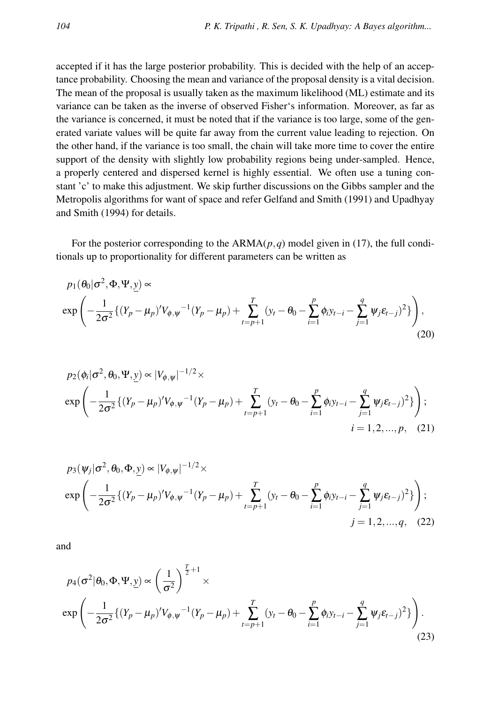accepted if it has the large posterior probability. This is decided with the help of an acceptance probability. Choosing the mean and variance of the proposal density is a vital decision. The mean of the proposal is usually taken as the maximum likelihood (ML) estimate and its variance can be taken as the inverse of observed Fisher's information. Moreover, as far as the variance is concerned, it must be noted that if the variance is too large, some of the generated variate values will be quite far away from the current value leading to rejection. On the other hand, if the variance is too small, the chain will take more time to cover the entire support of the density with slightly low probability regions being under-sampled. Hence, a properly centered and dispersed kernel is highly essential. We often use a tuning constant 'c' to make this adjustment. We skip further discussions on the Gibbs sampler and the Metropolis algorithms for want of space and refer Gelfand and Smith (1991) and Upadhyay and Smith (1994) for details.

For the posterior corresponding to the  $ARMA(p,q)$  model given in (17), the full conditionals up to proportionality for different parameters can be written as

$$
p_1(\theta_0 | \sigma^2, \Phi, \Psi, \underline{y}) \propto
$$
  
\n
$$
\exp\left(-\frac{1}{2\sigma^2} \{ (Y_p - \mu_p)' V_{\phi, \Psi}^{-1} (Y_p - \mu_p) + \sum_{t=p+1}^T (y_t - \theta_0 - \sum_{i=1}^p \phi_i y_{t-i} - \sum_{j=1}^q \Psi_j \varepsilon_{t-j})^2 \} \right),
$$
\n(20)

$$
p_2(\phi_i | \sigma^2, \theta_0, \Psi, \underline{y}) \propto |V_{\phi, \psi}|^{-1/2} \times
$$
  
\n
$$
\exp\left(-\frac{1}{2\sigma^2} \{(Y_p - \mu_p)' V_{\phi, \psi}^{-1} (Y_p - \mu_p) + \sum_{t=p+1}^T (y_t - \theta_0 - \sum_{i=1}^p \phi_i y_{t-i} - \sum_{j=1}^q \psi_j \varepsilon_{t-j})^2 \}\right);
$$
  
\n $i = 1, 2, ..., p, (21)$ 

$$
p_3(\psi_j | \sigma^2, \theta_0, \Phi, \underline{y}) \propto |V_{\phi, \psi}|^{-1/2} \times
$$
  
\n
$$
\exp\left(-\frac{1}{2\sigma^2} \{ (Y_p - \mu_p)' V_{\phi, \psi}^{-1} (Y_p - \mu_p) + \sum_{t=p+1}^T (y_t - \theta_0 - \sum_{i=1}^p \phi_i y_{t-i} - \sum_{j=1}^q \psi_j \varepsilon_{t-j})^2 \} \right);
$$
  
\n
$$
j = 1, 2, ..., q, \quad (22)
$$

and

$$
p_4(\sigma^2|\theta_0, \Phi, \Psi, \underline{y}) \propto \left(\frac{1}{\sigma^2}\right)^{\frac{T}{2}+1} \times \n\exp\left(-\frac{1}{2\sigma^2}\left\{(Y_p - \mu_p)'V_{\phi, \Psi}^{-1}(Y_p - \mu_p) + \sum_{t=p+1}^{T} (y_t - \theta_0 - \sum_{i=1}^p \phi_i y_{t-i} - \sum_{j=1}^q \psi_j \varepsilon_{t-j})^2\right\}\right).
$$
\n(23)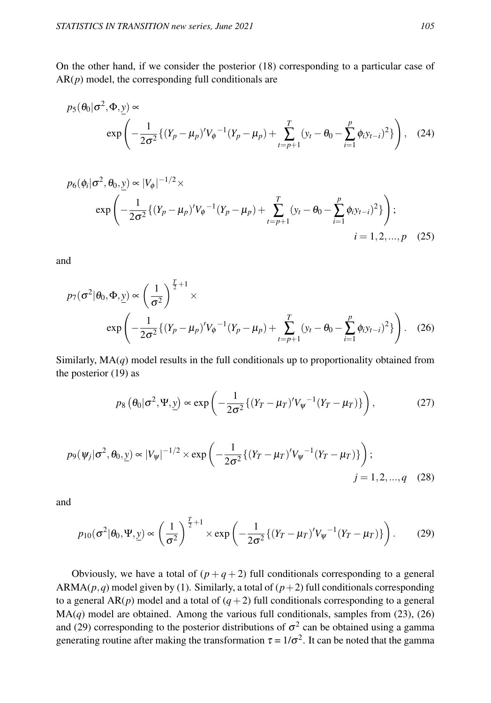On the other hand, if we consider the posterior (18) corresponding to a particular case of  $AR(p)$  model, the corresponding full conditionals are

$$
p_5(\theta_0 | \sigma^2, \Phi, \underline{y}) \propto \exp\left(-\frac{1}{2\sigma^2} \{ (Y_p - \mu_p)' V_{\phi}^{-1} (Y_p - \mu_p) + \sum_{t=p+1}^T (y_t - \theta_0 - \sum_{i=1}^p \phi_i y_{t-i})^2 \} \right), \quad (24)
$$

$$
p_6(\phi_i | \sigma^2, \theta_0, \underline{y}) \propto |V_{\phi}|^{-1/2} \times
$$
  
\n
$$
\exp\left(-\frac{1}{2\sigma^2} \{ (Y_p - \mu_p)' V_{\phi}^{-1} (Y_p - \mu_p) + \sum_{t=p+1}^T (y_t - \theta_0 - \sum_{i=1}^p \phi_i y_{t-i})^2 \} \right);
$$
  
\n $i = 1, 2, ..., p$  (25)

and

$$
p_7(\sigma^2|\theta_0, \Phi, \underline{y}) \propto \left(\frac{1}{\sigma^2}\right)^{\frac{T}{2}+1} \times \exp\left(-\frac{1}{2\sigma^2}\left\{(Y_p - \mu_p)'V_{\phi}^{-1}(Y_p - \mu_p) + \sum_{t=p+1}^{T} (y_t - \theta_0 - \sum_{i=1}^{p} \phi_i y_{t-i})^2\right\}\right). (26)
$$

Similarly, MA(*q*) model results in the full conditionals up to proportionality obtained from the posterior (19) as

$$
p_8\left(\theta_0|\sigma^2,\Psi,\underline{y}\right) \propto \exp\left(-\frac{1}{2\sigma^2}\left\{(Y_T-\mu_T)'V_{\Psi}^{-1}(Y_T-\mu_T)\right\}\right),\tag{27}
$$

$$
p_9(\psi_j|\sigma^2, \theta_0, \underline{y}) \propto |V_{\psi}|^{-1/2} \times \exp\left(-\frac{1}{2\sigma^2} \{ (Y_T - \mu_T)' V_{\psi}^{-1} (Y_T - \mu_T) \} \right);
$$
  
 $j = 1, 2, ..., q$  (28)

and

$$
p_{10}(\sigma^2|\theta_0,\Psi,\underline{y}) \propto \left(\frac{1}{\sigma^2}\right)^{\frac{T}{2}+1} \times \exp\left(-\frac{1}{2\sigma^2}\left\{(Y_T-\mu_T)'V_{\Psi}^{-1}(Y_T-\mu_T)\right\}\right). \tag{29}
$$

Obviously, we have a total of  $(p+q+2)$  full conditionals corresponding to a general ARMA( $p$ , $q$ ) model given by (1). Similarly, a total of ( $p+2$ ) full conditionals corresponding to a general  $AR(p)$  model and a total of  $(q+2)$  full conditionals corresponding to a general  $MA(q)$  model are obtained. Among the various full conditionals, samples from  $(23)$ ,  $(26)$ and (29) corresponding to the posterior distributions of  $\sigma^2$  can be obtained using a gamma generating routine after making the transformation  $\tau = 1/\sigma^2$ . It can be noted that the gamma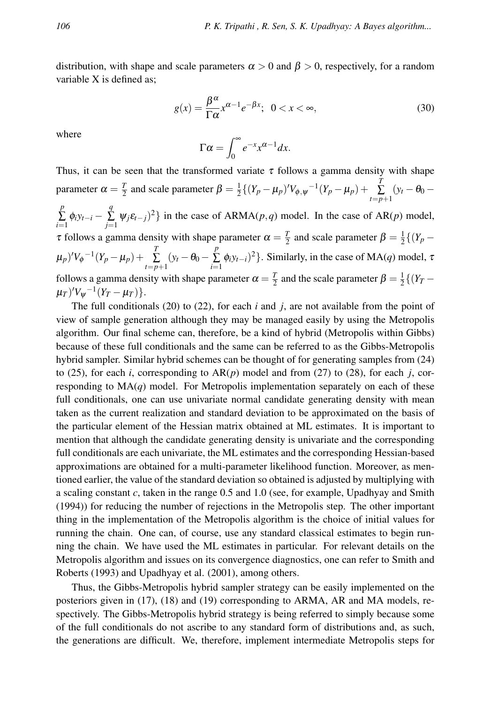distribution, with shape and scale parameters  $\alpha > 0$  and  $\beta > 0$ , respectively, for a random variable X is defined as;

$$
g(x) = \frac{\beta^{\alpha}}{\Gamma \alpha} x^{\alpha - 1} e^{-\beta x}; \ \ 0 < x < \infty,\tag{30}
$$

where

$$
\Gamma \alpha = \int_0^\infty e^{-x} x^{\alpha - 1} dx.
$$

Thus, it can be seen that the transformed variate  $\tau$  follows a gamma density with shape parameter  $\alpha = \frac{T}{2}$  and scale parameter  $\beta = \frac{1}{2} \{ (Y_p - \mu_p)' V_{\phi, \psi}^{-1} (Y_p - \mu_p) + \sum_{r=1}^{T} \frac{T}{r}$  $\sum_{t=p+1} (y_t - \theta_0$ *p*  $\sum_{i=1}^{p} \phi_i y_{t-i} - \sum_{j=1}^{q}$  $\sum_{j=1}^{7} \psi_j \varepsilon_{t-j}$ <sup>2</sup>} in the case of ARMA(*p*,*q*) model. In the case of AR(*p*) model,  $\tau$  follows a gamma density with shape parameter  $\alpha = \frac{T}{2}$  and scale parameter  $\beta = \frac{1}{2} \{ (Y_p - \alpha) \}$  $(\mu_p)' {V_{\phi}}^{-1}(Y_p-\mu_p)+\;\;\;\sum_{i=1}^T \frac{1}{2}$  $\sum_{t=p+1}^{T} (y_t - \theta_0 - \sum_{i=1}^{p}$  $\sum_{i=1}^{6} \phi_i y_{t-i}$ )<sup>2</sup> }. Similarly, in the case of MA(*q*) model, τ follows a gamma density with shape parameter  $\alpha = \frac{T}{2}$  and the scale parameter  $\beta = \frac{1}{2} \{ (Y_T - \alpha) \}$  $(\mu_T)' V_{\psi}^{-1} (Y_T - \mu_T) \}.$ 

The full conditionals (20) to (22), for each *i* and *j*, are not available from the point of view of sample generation although they may be managed easily by using the Metropolis algorithm. Our final scheme can, therefore, be a kind of hybrid (Metropolis within Gibbs) because of these full conditionals and the same can be referred to as the Gibbs-Metropolis hybrid sampler. Similar hybrid schemes can be thought of for generating samples from (24) to (25), for each *i*, corresponding to AR(*p*) model and from (27) to (28), for each *j*, corresponding to MA(*q*) model. For Metropolis implementation separately on each of these full conditionals, one can use univariate normal candidate generating density with mean taken as the current realization and standard deviation to be approximated on the basis of the particular element of the Hessian matrix obtained at ML estimates. It is important to mention that although the candidate generating density is univariate and the corresponding full conditionals are each univariate, the ML estimates and the corresponding Hessian-based approximations are obtained for a multi-parameter likelihood function. Moreover, as mentioned earlier, the value of the standard deviation so obtained is adjusted by multiplying with a scaling constant *c*, taken in the range 0.5 and 1.0 (see, for example, Upadhyay and Smith (1994)) for reducing the number of rejections in the Metropolis step. The other important thing in the implementation of the Metropolis algorithm is the choice of initial values for running the chain. One can, of course, use any standard classical estimates to begin running the chain. We have used the ML estimates in particular. For relevant details on the Metropolis algorithm and issues on its convergence diagnostics, one can refer to Smith and Roberts (1993) and Upadhyay et al. (2001), among others.

Thus, the Gibbs-Metropolis hybrid sampler strategy can be easily implemented on the posteriors given in (17), (18) and (19) corresponding to ARMA, AR and MA models, respectively. The Gibbs-Metropolis hybrid strategy is being referred to simply because some of the full conditionals do not ascribe to any standard form of distributions and, as such, the generations are difficult. We, therefore, implement intermediate Metropolis steps for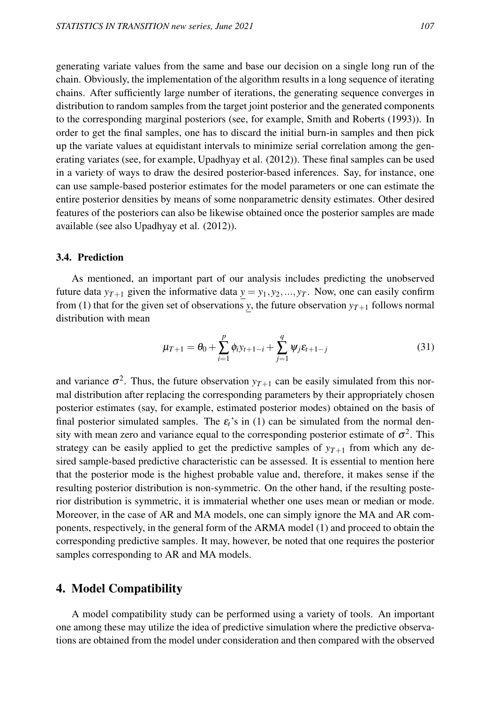generating variate values from the same and base our decision on a single long run of the chain. Obviously, the implementation of the algorithm results in a long sequence of iterating chains. After sufficiently large number of iterations, the generating sequence converges in distribution to random samples from the target joint posterior and the generated components to the corresponding marginal posteriors (see, for example, Smith and Roberts (1993)). In order to get the final samples, one has to discard the initial burn-in samples and then pick up the variate values at equidistant intervals to minimize serial correlation among the generating variates (see, for example, Upadhyay et al. (2012)). These final samples can be used in a variety of ways to draw the desired posterior-based inferences. Say, for instance, one can use sample-based posterior estimates for the model parameters or one can estimate the entire posterior densities by means of some nonparametric density estimates. Other desired features of the posteriors can also be likewise obtained once the posterior samples are made available (see also Upadhyay et al. (2012)).

#### 3.4. Prediction

As mentioned, an important part of our analysis includes predicting the unobserved future data  $y_{T+1}$  given the informative data  $y = y_1, y_2, ..., y_T$ . Now, one can easily confirm from (1) that for the given set of observations *y*, the future observation  $y_{T+1}$  follows normal distribution with mean

$$
\mu_{T+1} = \theta_0 + \sum_{i=1}^p \phi_i y_{t+1-i} + \sum_{j=1}^q \psi_j \varepsilon_{t+1-j}
$$
\n(31)

and variance  $\sigma^2$ . Thus, the future observation  $y_{T+1}$  can be easily simulated from this normal distribution after replacing the corresponding parameters by their appropriately chosen posterior estimates (say, for example, estimated posterior modes) obtained on the basis of final posterior simulated samples. The  $\varepsilon_t$ 's in (1) can be simulated from the normal density with mean zero and variance equal to the corresponding posterior estimate of  $\sigma^2$ . This strategy can be easily applied to get the predictive samples of  $y_{T+1}$  from which any desired sample-based predictive characteristic can be assessed. It is essential to mention here that the posterior mode is the highest probable value and, therefore, it makes sense if the resulting posterior distribution is non-symmetric. On the other hand, if the resulting posterior distribution is symmetric, it is immaterial whether one uses mean or median or mode. Moreover, in the case of AR and MA models, one can simply ignore the MA and AR components, respectively, in the general form of the ARMA model (1) and proceed to obtain the corresponding predictive samples. It may, however, be noted that one requires the posterior samples corresponding to AR and MA models.

### 4. Model Compatibility

A model compatibility study can be performed using a variety of tools. An important one among these may utilize the idea of predictive simulation where the predictive observations are obtained from the model under consideration and then compared with the observed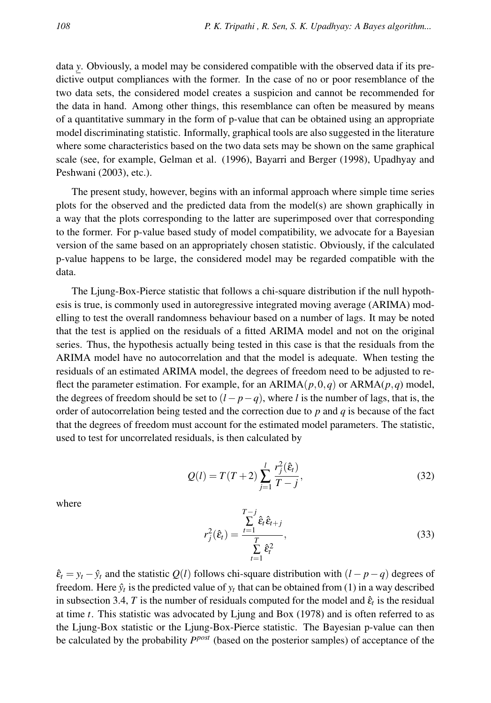data *y*. Obviously, a model may be considered compatible with the observed data if its predictive output compliances with the former. In the case of no or poor resemblance of the two data sets, the considered model creates a suspicion and cannot be recommended for the data in hand. Among other things, this resemblance can often be measured by means of a quantitative summary in the form of p-value that can be obtained using an appropriate model discriminating statistic. Informally, graphical tools are also suggested in the literature where some characteristics based on the two data sets may be shown on the same graphical scale (see, for example, Gelman et al. (1996), Bayarri and Berger (1998), Upadhyay and Peshwani (2003), etc.).

The present study, however, begins with an informal approach where simple time series plots for the observed and the predicted data from the model(s) are shown graphically in a way that the plots corresponding to the latter are superimposed over that corresponding to the former. For p-value based study of model compatibility, we advocate for a Bayesian version of the same based on an appropriately chosen statistic. Obviously, if the calculated p-value happens to be large, the considered model may be regarded compatible with the data.

The Ljung-Box-Pierce statistic that follows a chi-square distribution if the null hypothesis is true, is commonly used in autoregressive integrated moving average (ARIMA) modelling to test the overall randomness behaviour based on a number of lags. It may be noted that the test is applied on the residuals of a fitted ARIMA model and not on the original series. Thus, the hypothesis actually being tested in this case is that the residuals from the ARIMA model have no autocorrelation and that the model is adequate. When testing the residuals of an estimated ARIMA model, the degrees of freedom need to be adjusted to reflect the parameter estimation. For example, for an  $ARIMA(p,0,q)$  or  $ARMA(p,q)$  model, the degrees of freedom should be set to  $(l - p - q)$ , where *l* is the number of lags, that is, the order of autocorrelation being tested and the correction due to *p* and *q* is because of the fact that the degrees of freedom must account for the estimated model parameters. The statistic, used to test for uncorrelated residuals, is then calculated by

$$
Q(l) = T(T+2) \sum_{j=1}^{l} \frac{r_j^2(\hat{\varepsilon}_t)}{T-j},
$$
\n(32)

where

$$
r_j^2(\hat{\mathbf{\varepsilon}}_t) = \frac{\sum\limits_{t=1}^{T-j} \hat{\mathbf{\varepsilon}}_t \hat{\mathbf{\varepsilon}}_{t+j}}{\sum\limits_{t=1}^{T} \hat{\mathbf{\varepsilon}}_t^2},\tag{33}
$$

 $\hat{\epsilon}_t = y_t - \hat{y}_t$  and the statistic  $Q(t)$  follows chi-square distribution with  $(l - p - q)$  degrees of freedom. Here  $\hat{y}_t$  is the predicted value of  $y_t$  that can be obtained from (1) in a way described in subsection 3.4, *T* is the number of residuals computed for the model and  $\hat{\epsilon}_t$  is the residual at time *t*. This statistic was advocated by Ljung and Box (1978) and is often referred to as the Ljung-Box statistic or the Ljung-Box-Pierce statistic. The Bayesian p-value can then be calculated by the probability  $P<sup>post</sup>$  (based on the posterior samples) of acceptance of the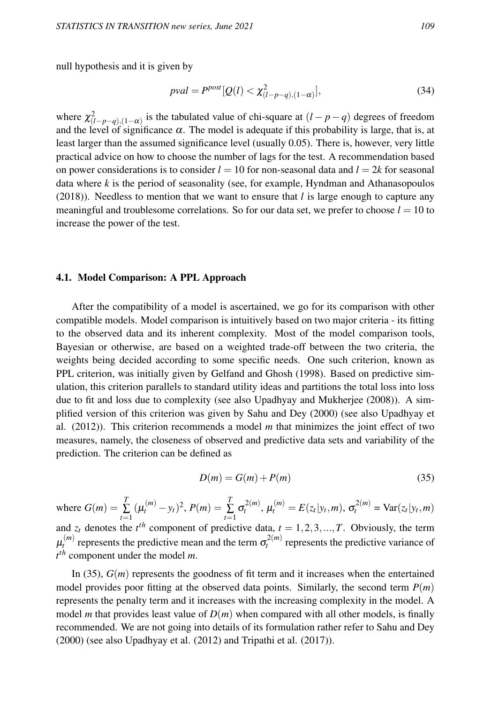null hypothesis and it is given by

$$
pval = P^{post}[Q(l) < \chi^2_{(l-p-q),(1-\alpha)}],\tag{34}
$$

where  $\chi^2_{(l-p-q),(1-\alpha)}$  is the tabulated value of chi-square at  $(l-p-q)$  degrees of freedom and the level of significance  $\alpha$ . The model is adequate if this probability is large, that is, at least larger than the assumed significance level (usually 0.05). There is, however, very little practical advice on how to choose the number of lags for the test. A recommendation based on power considerations is to consider  $l = 10$  for non-seasonal data and  $l = 2k$  for seasonal data where *k* is the period of seasonality (see, for example, Hyndman and Athanasopoulos (2018)). Needless to mention that we want to ensure that *l* is large enough to capture any meaningful and troublesome correlations. So for our data set, we prefer to choose  $l = 10$  to increase the power of the test.

#### 4.1. Model Comparison: A PPL Approach

After the compatibility of a model is ascertained, we go for its comparison with other compatible models. Model comparison is intuitively based on two major criteria - its fitting to the observed data and its inherent complexity. Most of the model comparison tools, Bayesian or otherwise, are based on a weighted trade-off between the two criteria, the weights being decided according to some specific needs. One such criterion, known as PPL criterion, was initially given by Gelfand and Ghosh (1998). Based on predictive simulation, this criterion parallels to standard utility ideas and partitions the total loss into loss due to fit and loss due to complexity (see also Upadhyay and Mukherjee (2008)). A simplified version of this criterion was given by Sahu and Dey (2000) (see also Upadhyay et al. (2012)). This criterion recommends a model *m* that minimizes the joint effect of two measures, namely, the closeness of observed and predictive data sets and variability of the prediction. The criterion can be defined as

$$
D(m) = G(m) + P(m) \tag{35}
$$

where  $G(m) = \sum_{r=1}^{T}$  $\sum_{t=1}^{T} (\mu_t^{(m)} - y_t)^2$ ,  $P(m) = \sum_{t=1}^{T}$  $\sum_{t=1}^{T} \sigma_t^{2(m)}$ ,  $\mu_t^{(m)} = E(z_t|y_t, m)$ ,  $\sigma_t^{2(m)} = \text{Var}(z_t|y_t, m)$ and  $z_t$  denotes the  $t^{th}$  component of predictive data,  $t = 1, 2, 3, ..., T$ . Obviously, the term  $\mu_t^{(m)}$  represents the predictive mean and the term  $\sigma_t^{2(m)}$  represents the predictive variance of *t th* component under the model *m*.

In  $(35)$ ,  $G(m)$  represents the goodness of fit term and it increases when the entertained model provides poor fitting at the observed data points. Similarly, the second term  $P(m)$ represents the penalty term and it increases with the increasing complexity in the model. A model *m* that provides least value of  $D(m)$  when compared with all other models, is finally recommended. We are not going into details of its formulation rather refer to Sahu and Dey (2000) (see also Upadhyay et al. (2012) and Tripathi et al. (2017)).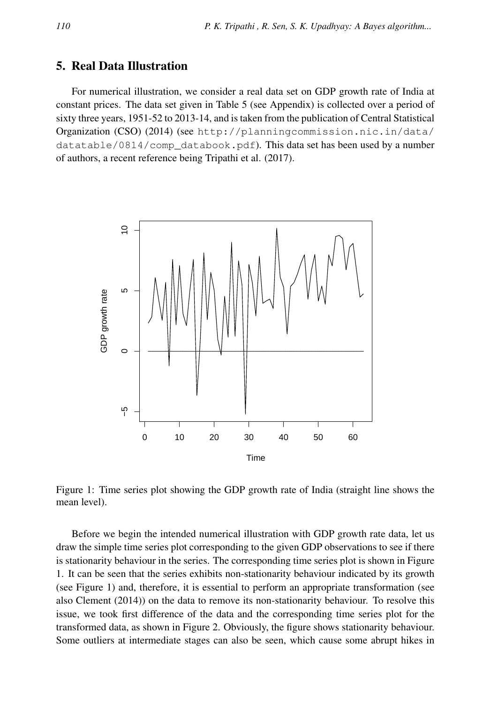## 5. Real Data Illustration

For numerical illustration, we consider a real data set on GDP growth rate of India at constant prices. The data set given in Table 5 (see Appendix) is collected over a period of sixty three years, 1951-52 to 2013-14, and is taken from the publication of Central Statistical Organization (CSO) (2014) (see http://planningcommission.nic.in/data/ datatable/0814/comp\_databook.pdf). This data set has been used by a number of authors, a recent reference being Tripathi et al. (2017).



Figure 1: Time series plot showing the GDP growth rate of India (straight line shows the mean level).

Before we begin the intended numerical illustration with GDP growth rate data, let us draw the simple time series plot corresponding to the given GDP observations to see if there is stationarity behaviour in the series. The corresponding time series plot is shown in Figure 1. It can be seen that the series exhibits non-stationarity behaviour indicated by its growth (see Figure 1) and, therefore, it is essential to perform an appropriate transformation (see also Clement (2014)) on the data to remove its non-stationarity behaviour. To resolve this issue, we took first difference of the data and the corresponding time series plot for the transformed data, as shown in Figure 2. Obviously, the figure shows stationarity behaviour. Some outliers at intermediate stages can also be seen, which cause some abrupt hikes in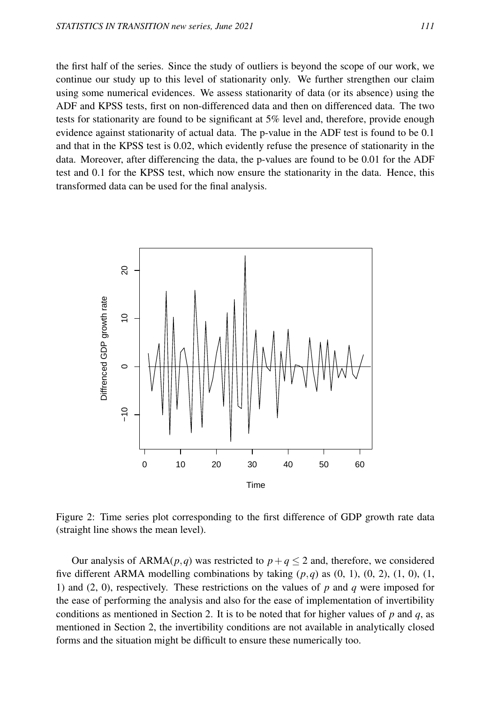the first half of the series. Since the study of outliers is beyond the scope of our work, we continue our study up to this level of stationarity only. We further strengthen our claim using some numerical evidences. We assess stationarity of data (or its absence) using the ADF and KPSS tests, first on non-differenced data and then on differenced data. The two tests for stationarity are found to be significant at 5% level and, therefore, provide enough evidence against stationarity of actual data. The p-value in the ADF test is found to be 0.1 and that in the KPSS test is 0.02, which evidently refuse the presence of stationarity in the data. Moreover, after differencing the data, the p-values are found to be 0.01 for the ADF test and 0.1 for the KPSS test, which now ensure the stationarity in the data. Hence, this transformed data can be used for the final analysis.



Figure 2: Time series plot corresponding to the first difference of GDP growth rate data (straight line shows the mean level).

Our analysis of ARMA( $p, q$ ) was restricted to  $p + q \leq 2$  and, therefore, we considered five different ARMA modelling combinations by taking  $(p,q)$  as  $(0, 1)$ ,  $(0, 2)$ ,  $(1, 0)$ ,  $(1,$ 1) and (2, 0), respectively. These restrictions on the values of *p* and *q* were imposed for the ease of performing the analysis and also for the ease of implementation of invertibility conditions as mentioned in Section 2. It is to be noted that for higher values of  $p$  and  $q$ , as mentioned in Section 2, the invertibility conditions are not available in analytically closed forms and the situation might be difficult to ensure these numerically too.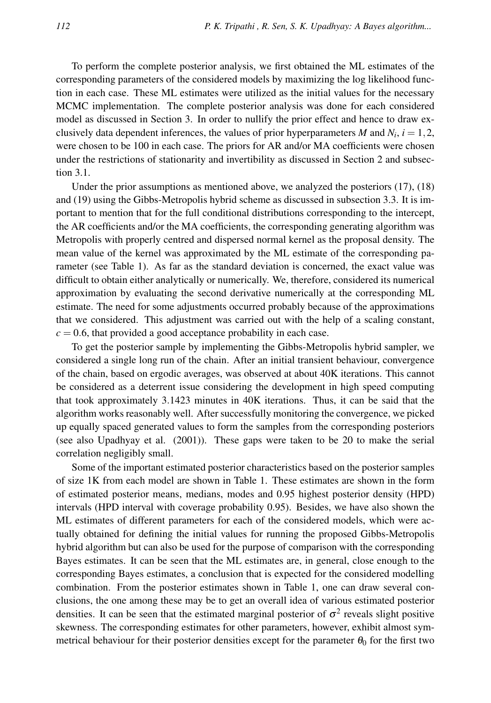To perform the complete posterior analysis, we first obtained the ML estimates of the corresponding parameters of the considered models by maximizing the log likelihood function in each case. These ML estimates were utilized as the initial values for the necessary MCMC implementation. The complete posterior analysis was done for each considered model as discussed in Section 3. In order to nullify the prior effect and hence to draw exclusively data dependent inferences, the values of prior hyperparameters  $M$  and  $N_i$ ,  $i = 1, 2$ , were chosen to be 100 in each case. The priors for AR and/or MA coefficients were chosen under the restrictions of stationarity and invertibility as discussed in Section 2 and subsection 3.1.

Under the prior assumptions as mentioned above, we analyzed the posteriors (17), (18) and (19) using the Gibbs-Metropolis hybrid scheme as discussed in subsection 3.3. It is important to mention that for the full conditional distributions corresponding to the intercept, the AR coefficients and/or the MA coefficients, the corresponding generating algorithm was Metropolis with properly centred and dispersed normal kernel as the proposal density. The mean value of the kernel was approximated by the ML estimate of the corresponding parameter (see Table 1). As far as the standard deviation is concerned, the exact value was difficult to obtain either analytically or numerically. We, therefore, considered its numerical approximation by evaluating the second derivative numerically at the corresponding ML estimate. The need for some adjustments occurred probably because of the approximations that we considered. This adjustment was carried out with the help of a scaling constant,  $c = 0.6$ , that provided a good acceptance probability in each case.

To get the posterior sample by implementing the Gibbs-Metropolis hybrid sampler, we considered a single long run of the chain. After an initial transient behaviour, convergence of the chain, based on ergodic averages, was observed at about 40K iterations. This cannot be considered as a deterrent issue considering the development in high speed computing that took approximately 3.1423 minutes in 40K iterations. Thus, it can be said that the algorithm works reasonably well. After successfully monitoring the convergence, we picked up equally spaced generated values to form the samples from the corresponding posteriors (see also Upadhyay et al. (2001)). These gaps were taken to be 20 to make the serial correlation negligibly small.

Some of the important estimated posterior characteristics based on the posterior samples of size 1K from each model are shown in Table 1. These estimates are shown in the form of estimated posterior means, medians, modes and 0.95 highest posterior density (HPD) intervals (HPD interval with coverage probability 0.95). Besides, we have also shown the ML estimates of different parameters for each of the considered models, which were actually obtained for defining the initial values for running the proposed Gibbs-Metropolis hybrid algorithm but can also be used for the purpose of comparison with the corresponding Bayes estimates. It can be seen that the ML estimates are, in general, close enough to the corresponding Bayes estimates, a conclusion that is expected for the considered modelling combination. From the posterior estimates shown in Table 1, one can draw several conclusions, the one among these may be to get an overall idea of various estimated posterior densities. It can be seen that the estimated marginal posterior of  $\sigma^2$  reveals slight positive skewness. The corresponding estimates for other parameters, however, exhibit almost symmetrical behaviour for their posterior densities except for the parameter  $\theta_0$  for the first two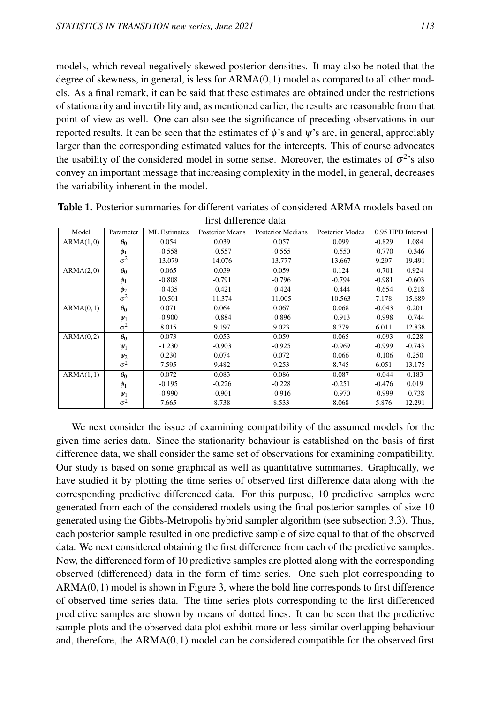models, which reveal negatively skewed posterior densities. It may also be noted that the degree of skewness, in general, is less for  $ARMA(0,1)$  model as compared to all other models. As a final remark, it can be said that these estimates are obtained under the restrictions of stationarity and invertibility and, as mentioned earlier, the results are reasonable from that point of view as well. One can also see the significance of preceding observations in our reported results. It can be seen that the estimates of  $\phi$ 's and  $\psi$ 's are, in general, appreciably larger than the corresponding estimated values for the intercepts. This of course advocates the usability of the considered model in some sense. Moreover, the estimates of  $\sigma^2$ 's also convey an important message that increasing complexity in the model, in general, decreases the variability inherent in the model.

| Model     | Parameter           | <b>ML</b> Estimates | <b>Posterior Means</b> | <b>Posterior Medians</b> | <b>Posterior Modes</b> | 0.95 HPD Interval |          |
|-----------|---------------------|---------------------|------------------------|--------------------------|------------------------|-------------------|----------|
| ARMA(1,0) | $\theta_0$          | 0.054               | 0.039                  | 0.099<br>0.057           |                        | $-0.829$          | 1.084    |
|           | $\phi_1$            | $-0.558$            | $-0.557$               | $-0.555$                 | $-0.550$               | $-0.770$          | $-0.346$ |
|           | $\sigma^2$          | 13.079              | 14.076                 | 13.777                   | 13.667                 | 9.297             | 19.491   |
| ARMA(2,0) | $\theta_0$          | 0.065               | 0.039                  | 0.059                    | 0.124<br>$-0.701$      |                   | 0.924    |
|           | $\phi_1$            | $-0.808$            | $-0.791$               | $-0.796$                 | $-0.794$               | $-0.981$          | $-0.603$ |
|           | $\phi_2$            | $-0.435$            | $-0.421$               | $-0.424$                 | $-0.444$               | $-0.654$          | $-0.218$ |
|           | $\sigma^2$          | 10.501              | 11.374                 | 11.005                   | 10.563                 | 7.178             | 15.689   |
| ARMA(0,1) | $\theta_0$          | 0.071               | 0.064                  | 0.067                    | 0.068                  | $-0.043$          | 0.201    |
|           | $\Psi_1$            | $-0.900$            | $-0.884$               | $-0.896$                 | $-0.913$               | $-0.998$          | $-0.744$ |
|           | $\sigma^2$          | 8.015               | 9.197                  | 9.023                    | 8.779                  | 6.011             | 12.838   |
| ARMA(0,2) | $\theta_0$          | 0.073               | 0.053                  | 0.059                    | 0.065                  | $-0.093$          | 0.228    |
|           | $\Psi_1$            | $-1.230$            | $-0.903$               | $-0.925$                 | $-0.969$               | $-0.999$          | $-0.743$ |
|           | $\Psi$ <sub>2</sub> | 0.230               | 0.074                  | 0.072                    | 0.066                  | $-0.106$          | 0.250    |
|           | $\sigma^2$          | 7.595               | 9.482                  | 9.253                    | 8.745                  | 6.051             | 13.175   |
| ARMA(1,1) | $\theta_0$          | 0.072               | 0.083                  | 0.086                    | 0.087                  | $-0.044$          | 0.183    |
|           | $\phi_1$            | $-0.195$            | $-0.226$               | $-0.228$                 | $-0.251$               | $-0.476$          | 0.019    |
|           | $\Psi_1$            | $-0.990$            | $-0.901$               | $-0.916$                 | $-0.970$               | $-0.999$          | $-0.738$ |
|           | $\sigma^2$          | 7.665               | 8.738                  | 8.533                    | 8.068                  | 5.876             | 12.291   |

Table 1. Posterior summaries for different variates of considered ARMA models based on first difference data

We next consider the issue of examining compatibility of the assumed models for the given time series data. Since the stationarity behaviour is established on the basis of first difference data, we shall consider the same set of observations for examining compatibility. Our study is based on some graphical as well as quantitative summaries. Graphically, we have studied it by plotting the time series of observed first difference data along with the corresponding predictive differenced data. For this purpose, 10 predictive samples were generated from each of the considered models using the final posterior samples of size 10 generated using the Gibbs-Metropolis hybrid sampler algorithm (see subsection 3.3). Thus, each posterior sample resulted in one predictive sample of size equal to that of the observed data. We next considered obtaining the first difference from each of the predictive samples. Now, the differenced form of 10 predictive samples are plotted along with the corresponding observed (differenced) data in the form of time series. One such plot corresponding to  $ARMA(0,1)$  model is shown in Figure 3, where the bold line corresponds to first difference of observed time series data. The time series plots corresponding to the first differenced predictive samples are shown by means of dotted lines. It can be seen that the predictive sample plots and the observed data plot exhibit more or less similar overlapping behaviour and, therefore, the ARMA(0,1) model can be considered compatible for the observed first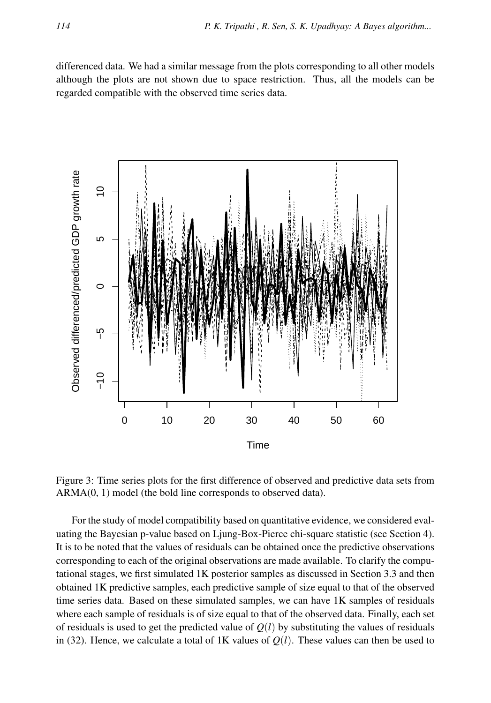differenced data. We had a similar message from the plots corresponding to all other models although the plots are not shown due to space restriction. Thus, all the models can be regarded compatible with the observed time series data.



Figure 3: Time series plots for the first difference of observed and predictive data sets from ARMA(0, 1) model (the bold line corresponds to observed data).

For the study of model compatibility based on quantitative evidence, we considered evaluating the Bayesian p-value based on Ljung-Box-Pierce chi-square statistic (see Section 4). It is to be noted that the values of residuals can be obtained once the predictive observations corresponding to each of the original observations are made available. To clarify the computational stages, we first simulated 1K posterior samples as discussed in Section 3.3 and then obtained 1K predictive samples, each predictive sample of size equal to that of the observed time series data. Based on these simulated samples, we can have 1K samples of residuals where each sample of residuals is of size equal to that of the observed data. Finally, each set of residuals is used to get the predicted value of  $Q(l)$  by substituting the values of residuals in (32). Hence, we calculate a total of 1K values of  $Q(l)$ . These values can then be used to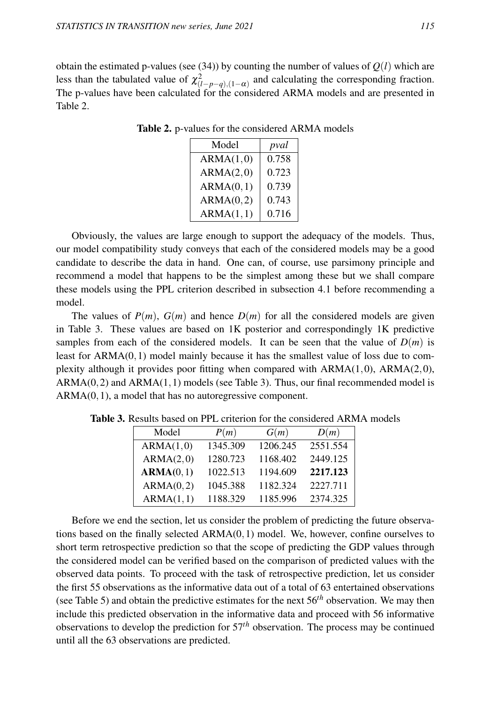obtain the estimated p-values (see (34)) by counting the number of values of  $Q(l)$  which are less than the tabulated value of  $\chi^2_{(l-p-q),(1-\alpha)}$  and calculating the corresponding fraction. The p-values have been calculated for the considered ARMA models and are presented in Table 2.

| Model     | pval  |
|-----------|-------|
| ARMA(1,0) | 0.758 |
| ARMA(2,0) | 0.723 |
| ARMA(0,1) | 0.739 |
| ARMA(0,2) | 0.743 |
| ARMA(1,1) | 0.716 |

Table 2. p-values for the considered ARMA models

Obviously, the values are large enough to support the adequacy of the models. Thus, our model compatibility study conveys that each of the considered models may be a good candidate to describe the data in hand. One can, of course, use parsimony principle and recommend a model that happens to be the simplest among these but we shall compare these models using the PPL criterion described in subsection 4.1 before recommending a model.

The values of  $P(m)$ ,  $G(m)$  and hence  $D(m)$  for all the considered models are given in Table 3. These values are based on 1K posterior and correspondingly 1K predictive samples from each of the considered models. It can be seen that the value of  $D(m)$  is least for  $ARMA(0,1)$  model mainly because it has the smallest value of loss due to complexity although it provides poor fitting when compared with  $ARMA(1,0)$ ,  $ARMA(2,0)$ ,  $ARMA(0, 2)$  and  $ARMA(1, 1)$  models (see Table 3). Thus, our final recommended model is ARMA(0,1), a model that has no autoregressive component.

| Model     | P(m)     | G(m)     | D(m)     |
|-----------|----------|----------|----------|
| ARMA(1,0) | 1345.309 | 1206.245 | 2551.554 |
| ARMA(2,0) | 1280.723 | 1168.402 | 2449.125 |
| ARMA(0,1) | 1022.513 | 1194.609 | 2217.123 |
| ARMA(0,2) | 1045.388 | 1182.324 | 2227.711 |
| ARMA(1,1) | 1188.329 | 1185.996 | 2374.325 |

Table 3. Results based on PPL criterion for the considered ARMA models

Before we end the section, let us consider the problem of predicting the future observations based on the finally selected  $ARMA(0,1)$  model. We, however, confine ourselves to short term retrospective prediction so that the scope of predicting the GDP values through the considered model can be verified based on the comparison of predicted values with the observed data points. To proceed with the task of retrospective prediction, let us consider the first 55 observations as the informative data out of a total of 63 entertained observations (see Table 5) and obtain the predictive estimates for the next 56*th* observation. We may then include this predicted observation in the informative data and proceed with 56 informative observations to develop the prediction for 57*th* observation. The process may be continued until all the 63 observations are predicted.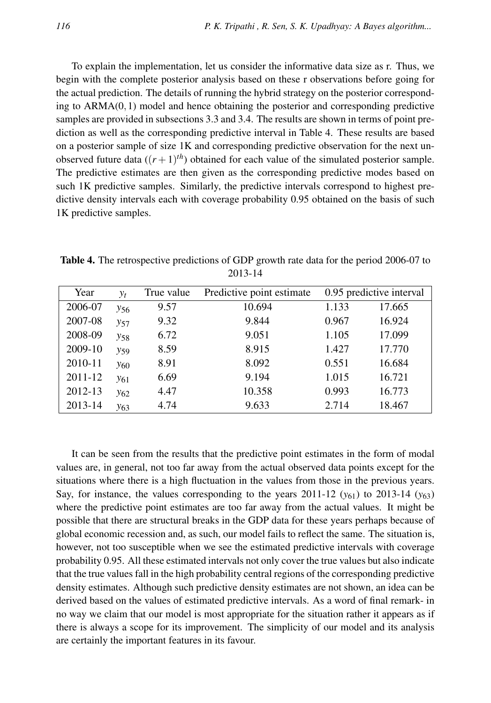To explain the implementation, let us consider the informative data size as r. Thus, we begin with the complete posterior analysis based on these r observations before going for the actual prediction. The details of running the hybrid strategy on the posterior corresponding to  $ARMA(0,1)$  model and hence obtaining the posterior and corresponding predictive samples are provided in subsections 3.3 and 3.4. The results are shown in terms of point prediction as well as the corresponding predictive interval in Table 4. These results are based on a posterior sample of size 1K and corresponding predictive observation for the next unobserved future data  $((r+1)^{th})$  obtained for each value of the simulated posterior sample. The predictive estimates are then given as the corresponding predictive modes based on such 1K predictive samples. Similarly, the predictive intervals correspond to highest predictive density intervals each with coverage probability 0.95 obtained on the basis of such 1K predictive samples.

Table 4. The retrospective predictions of GDP growth rate data for the period 2006-07 to 2013-14

| Year    | $y_t$                  | True value | Predictive point estimate | 0.95 predictive interval |        |
|---------|------------------------|------------|---------------------------|--------------------------|--------|
| 2006-07 | <b>y</b> <sub>56</sub> | 9.57       | 10.694                    | 1.133                    | 17.665 |
| 2007-08 | $y_{57}$               | 9.32       | 9.844                     | 0.967                    | 16.924 |
| 2008-09 | <b>y</b> 58            | 6.72       | 9.051                     | 1.105                    | 17.099 |
| 2009-10 | $y_{59}$               | 8.59       | 8.915                     | 1.427                    | 17.770 |
| 2010-11 | <b>y</b> <sub>60</sub> | 8.91       | 8.092                     | 0.551                    | 16.684 |
| 2011-12 | $y_{61}$               | 6.69       | 9.194                     | 1.015                    | 16.721 |
| 2012-13 | $y_{62}$               | 4.47       | 10.358                    | 0.993                    | 16.773 |
| 2013-14 | $y_{63}$               | 4.74       | 9.633                     | 2.714                    | 18.467 |

It can be seen from the results that the predictive point estimates in the form of modal values are, in general, not too far away from the actual observed data points except for the situations where there is a high fluctuation in the values from those in the previous years. Say, for instance, the values corresponding to the years 2011-12  $(y_{61})$  to 2013-14  $(y_{63})$ where the predictive point estimates are too far away from the actual values. It might be possible that there are structural breaks in the GDP data for these years perhaps because of global economic recession and, as such, our model fails to reflect the same. The situation is, however, not too susceptible when we see the estimated predictive intervals with coverage probability 0.95. All these estimated intervals not only cover the true values but also indicate that the true values fall in the high probability central regions of the corresponding predictive density estimates. Although such predictive density estimates are not shown, an idea can be derived based on the values of estimated predictive intervals. As a word of final remark- in no way we claim that our model is most appropriate for the situation rather it appears as if there is always a scope for its improvement. The simplicity of our model and its analysis are certainly the important features in its favour.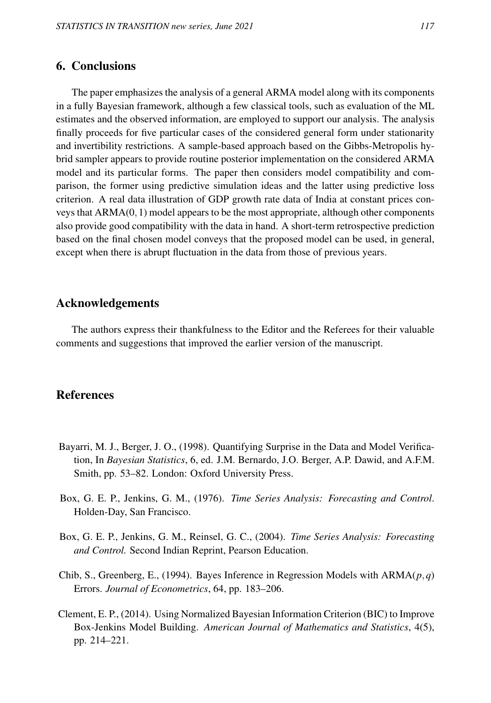## 6. Conclusions

The paper emphasizes the analysis of a general ARMA model along with its components in a fully Bayesian framework, although a few classical tools, such as evaluation of the ML estimates and the observed information, are employed to support our analysis. The analysis finally proceeds for five particular cases of the considered general form under stationarity and invertibility restrictions. A sample-based approach based on the Gibbs-Metropolis hybrid sampler appears to provide routine posterior implementation on the considered ARMA model and its particular forms. The paper then considers model compatibility and comparison, the former using predictive simulation ideas and the latter using predictive loss criterion. A real data illustration of GDP growth rate data of India at constant prices conveys that ARMA(0,1) model appears to be the most appropriate, although other components also provide good compatibility with the data in hand. A short-term retrospective prediction based on the final chosen model conveys that the proposed model can be used, in general, except when there is abrupt fluctuation in the data from those of previous years.

### Acknowledgements

The authors express their thankfulness to the Editor and the Referees for their valuable comments and suggestions that improved the earlier version of the manuscript.

# References

- Bayarri, M. J., Berger, J. O., (1998). Quantifying Surprise in the Data and Model Verification, In *Bayesian Statistics*, 6, ed. J.M. Bernardo, J.O. Berger, A.P. Dawid, and A.F.M. Smith, pp. 53–82. London: Oxford University Press.
- Box, G. E. P., Jenkins, G. M., (1976). *Time Series Analysis: Forecasting and Control*. Holden-Day, San Francisco.
- Box, G. E. P., Jenkins, G. M., Reinsel, G. C., (2004). *Time Series Analysis: Forecasting and Control.* Second Indian Reprint, Pearson Education.
- Chib, S., Greenberg, E., (1994). Bayes Inference in Regression Models with ARMA(*p*,*q*) Errors. *Journal of Econometrics*, 64, pp. 183–206.
- Clement, E. P., (2014). Using Normalized Bayesian Information Criterion (BIC) to Improve Box-Jenkins Model Building. *American Journal of Mathematics and Statistics*, 4(5), pp. 214–221.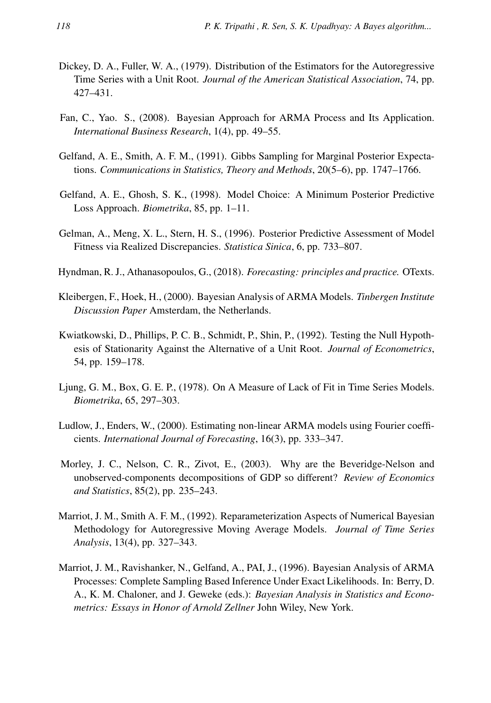- Dickey, D. A., Fuller, W. A., (1979). Distribution of the Estimators for the Autoregressive Time Series with a Unit Root. *Journal of the American Statistical Association*, 74, pp. 427–431.
- Fan, C., Yao. S., (2008). Bayesian Approach for ARMA Process and Its Application. *International Business Research*, 1(4), pp. 49–55.
- Gelfand, A. E., Smith, A. F. M., (1991). Gibbs Sampling for Marginal Posterior Expectations. *Communications in Statistics, Theory and Methods*, 20(5–6), pp. 1747–1766.
- Gelfand, A. E., Ghosh, S. K., (1998). Model Choice: A Minimum Posterior Predictive Loss Approach. *Biometrika*, 85, pp. 1–11.
- Gelman, A., Meng, X. L., Stern, H. S., (1996). Posterior Predictive Assessment of Model Fitness via Realized Discrepancies. *Statistica Sinica*, 6, pp. 733–807.
- Hyndman, R. J., Athanasopoulos, G., (2018). *Forecasting: principles and practice.* OTexts.
- Kleibergen, F., Hoek, H., (2000). Bayesian Analysis of ARMA Models. *Tinbergen Institute Discussion Paper* Amsterdam, the Netherlands.
- Kwiatkowski, D., Phillips, P. C. B., Schmidt, P., Shin, P., (1992). Testing the Null Hypothesis of Stationarity Against the Alternative of a Unit Root. *Journal of Econometrics*, 54, pp. 159–178.
- Ljung, G. M., Box, G. E. P., (1978). On A Measure of Lack of Fit in Time Series Models. *Biometrika*, 65, 297–303.
- Ludlow, J., Enders, W., (2000). Estimating non-linear ARMA models using Fourier coefficients. *International Journal of Forecasting*, 16(3), pp. 333–347.
- Morley, J. C., Nelson, C. R., Zivot, E., (2003). Why are the Beveridge-Nelson and unobserved-components decompositions of GDP so different? *Review of Economics and Statistics*, 85(2), pp. 235–243.
- Marriot, J. M., Smith A. F. M., (1992). Reparameterization Aspects of Numerical Bayesian Methodology for Autoregressive Moving Average Models. *Journal of Time Series Analysis*, 13(4), pp. 327–343.
- Marriot, J. M., Ravishanker, N., Gelfand, A., PAI, J., (1996). Bayesian Analysis of ARMA Processes: Complete Sampling Based Inference Under Exact Likelihoods. In: Berry, D. A., K. M. Chaloner, and J. Geweke (eds.): *Bayesian Analysis in Statistics and Econometrics: Essays in Honor of Arnold Zellner* John Wiley, New York.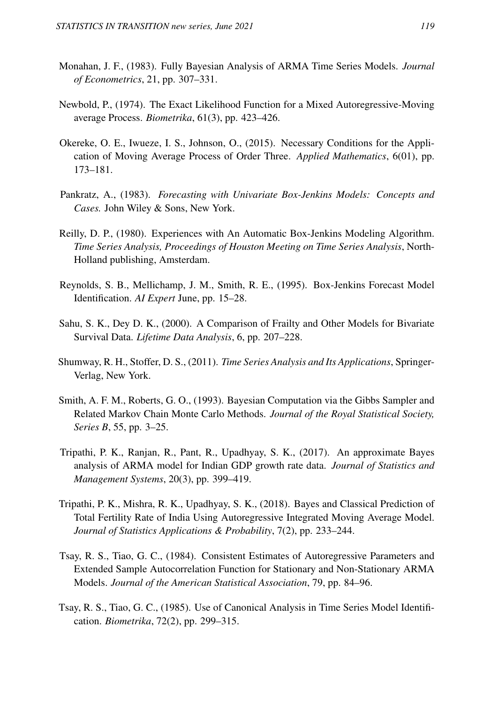- Monahan, J. F., (1983). Fully Bayesian Analysis of ARMA Time Series Models. *Journal of Econometrics*, 21, pp. 307–331.
- Newbold, P., (1974). The Exact Likelihood Function for a Mixed Autoregressive-Moving average Process. *Biometrika*, 61(3), pp. 423–426.
- Okereke, O. E., Iwueze, I. S., Johnson, O., (2015). Necessary Conditions for the Application of Moving Average Process of Order Three. *Applied Mathematics*, 6(01), pp. 173–181.
- Pankratz, A., (1983). *Forecasting with Univariate Box-Jenkins Models: Concepts and Cases.* John Wiley & Sons, New York.
- Reilly, D. P., (1980). Experiences with An Automatic Box-Jenkins Modeling Algorithm. *Time Series Analysis, Proceedings of Houston Meeting on Time Series Analysis*, North-Holland publishing, Amsterdam.
- Reynolds, S. B., Mellichamp, J. M., Smith, R. E., (1995). Box-Jenkins Forecast Model Identification. *AI Expert* June, pp. 15–28.
- Sahu, S. K., Dey D. K., (2000). A Comparison of Frailty and Other Models for Bivariate Survival Data. *Lifetime Data Analysis*, 6, pp. 207–228.
- Shumway, R. H., Stoffer, D. S., (2011). *Time Series Analysis and Its Applications*, Springer-Verlag, New York.
- Smith, A. F. M., Roberts, G. O., (1993). Bayesian Computation via the Gibbs Sampler and Related Markov Chain Monte Carlo Methods. *Journal of the Royal Statistical Society, Series B*, 55, pp. 3–25.
- Tripathi, P. K., Ranjan, R., Pant, R., Upadhyay, S. K., (2017). An approximate Bayes analysis of ARMA model for Indian GDP growth rate data. *Journal of Statistics and Management Systems*, 20(3), pp. 399–419.
- Tripathi, P. K., Mishra, R. K., Upadhyay, S. K., (2018). Bayes and Classical Prediction of Total Fertility Rate of India Using Autoregressive Integrated Moving Average Model. *Journal of Statistics Applications & Probability*, 7(2), pp. 233–244.
- Tsay, R. S., Tiao, G. C., (1984). Consistent Estimates of Autoregressive Parameters and Extended Sample Autocorrelation Function for Stationary and Non-Stationary ARMA Models. *Journal of the American Statistical Association*, 79, pp. 84–96.
- Tsay, R. S., Tiao, G. C., (1985). Use of Canonical Analysis in Time Series Model Identification. *Biometrika*, 72(2), pp. 299–315.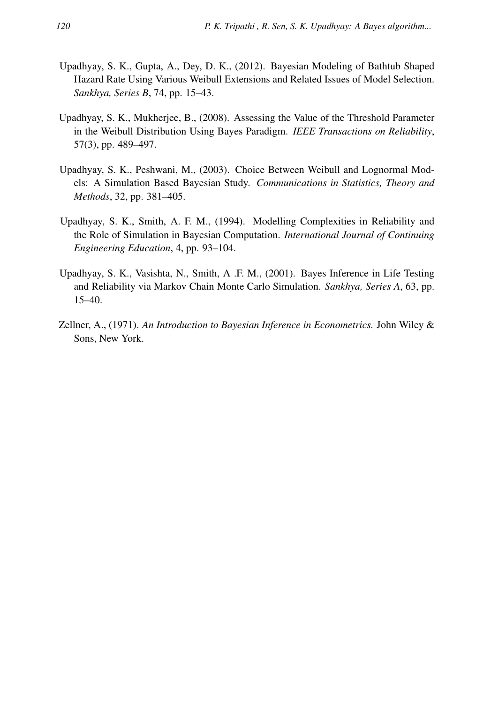- Upadhyay, S. K., Gupta, A., Dey, D. K., (2012). Bayesian Modeling of Bathtub Shaped Hazard Rate Using Various Weibull Extensions and Related Issues of Model Selection. *Sankhya, Series B*, 74, pp. 15–43.
- Upadhyay, S. K., Mukherjee, B., (2008). Assessing the Value of the Threshold Parameter in the Weibull Distribution Using Bayes Paradigm. *IEEE Transactions on Reliability*, 57(3), pp. 489–497.
- Upadhyay, S. K., Peshwani, M., (2003). Choice Between Weibull and Lognormal Models: A Simulation Based Bayesian Study. *Communications in Statistics, Theory and Methods*, 32, pp. 381–405.
- Upadhyay, S. K., Smith, A. F. M., (1994). Modelling Complexities in Reliability and the Role of Simulation in Bayesian Computation. *International Journal of Continuing Engineering Education*, 4, pp. 93–104.
- Upadhyay, S. K., Vasishta, N., Smith, A .F. M., (2001). Bayes Inference in Life Testing and Reliability via Markov Chain Monte Carlo Simulation. *Sankhya, Series A*, 63, pp. 15–40.
- Zellner, A., (1971). *An Introduction to Bayesian Inference in Econometrics.* John Wiley & Sons, New York.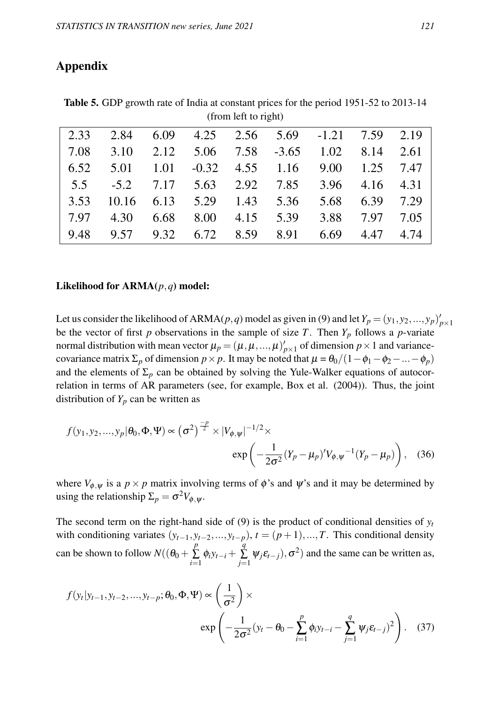# Appendix

| $\vert$ 2.33 2.84 6.09 4.25 2.56 5.69 -1.21 7.59 2.19                                             |  |  |  |  |
|---------------------------------------------------------------------------------------------------|--|--|--|--|
| $\begin{array}{cccccc} 7.08 & 3.10 & 2.12 & 5.06 & 7.58 & -3.65 & 1.02 & 8.14 & 2.61 \end{array}$ |  |  |  |  |
| $\begin{array}{cccccc} 6.52 & 5.01 & 1.01 & -0.32 & 4.55 & 1.16 & 9.00 & 1.25 & 7.47 \end{array}$ |  |  |  |  |
| $\begin{array}{cccccc} 5.5 & -5.2 & 7.17 & 5.63 & 2.92 & 7.85 & 3.96 & 4.16 & 4.31 \end{array}$   |  |  |  |  |
| $\vert$ 3.53 10.16 6.13 5.29 1.43 5.36 5.68 6.39 7.29                                             |  |  |  |  |
| $\begin{array}{cccccc} 7.97 & 4.30 & 6.68 & 8.00 & 4.15 & 5.39 & 3.88 & 7.97 & 7.05 \end{array}$  |  |  |  |  |
|                                                                                                   |  |  |  |  |

Table 5. GDP growth rate of India at constant prices for the period 1951-52 to 2013-14 (from left to right)

### Likelihood for ARMA(*p*,*q*) model:

Let us consider the likelihood of ARMA(*p*,*q*) model as given in (9) and let  $Y_p = (y_1, y_2, ..., y_p)_{p \times 1}^t$ be the vector of first  $p$  observations in the sample of size  $T$ . Then  $Y_p$  follows a  $p$ -variate normal distribution with mean vector  $\mu_p = (\mu, \mu, ..., \mu)_{p \times 1}'$  of dimension  $p \times 1$  and variancecovariance matrix  $\Sigma_p$  of dimension  $p \times p$ . It may be noted that  $\mu = \theta_0/(1 - \phi_1 - \phi_2 - ... - \phi_p)$ and the elements of  $\Sigma_p$  can be obtained by solving the Yule-Walker equations of autocorrelation in terms of AR parameters (see, for example, Box et al. (2004)). Thus, the joint distribution of  $Y_p$  can be written as

$$
f(y_1, y_2, ..., y_p | \theta_0, \Phi, \Psi) \propto (\sigma^2)^{\frac{-p}{2}} \times |V_{\phi, \Psi}|^{-1/2} \times \exp\left(-\frac{1}{2\sigma^2} (Y_p - \mu_p)' V_{\phi, \Psi}^{-1} (Y_p - \mu_p)\right), \quad (36)
$$

where  $V_{\phi,\psi}$  is a  $p \times p$  matrix involving terms of  $\phi$ 's and  $\psi$ 's and it may be determined by using the relationship  $\Sigma_p = \sigma^2 V_{\phi, \psi}$ .

The second term on the right-hand side of (9) is the product of conditional densities of  $y_t$ with conditioning variates  $(y_{t-1}, y_{t-2},..., y_{t-p})$ ,  $t = (p+1),...,T$ . This conditional density can be shown to follow  $N((\theta_0 + \sum^p$  $\sum_{i=1}^{p} \phi_i y_{t-i} + \sum_{j=1}^{q}$  $\sum_{j=1}^{7} \psi_j \varepsilon_{t-j}$ ,  $\sigma^2$ ) and the same can be written as,

$$
f(y_t|y_{t-1}, y_{t-2}, \dots, y_{t-p}; \theta_0, \Phi, \Psi) \propto \left(\frac{1}{\sigma^2}\right) \times \exp\left(-\frac{1}{2\sigma^2}(y_t - \theta_0 - \sum_{i=1}^p \phi_i y_{t-i} - \sum_{j=1}^q \psi_j \varepsilon_{t-j})^2\right).
$$
 (37)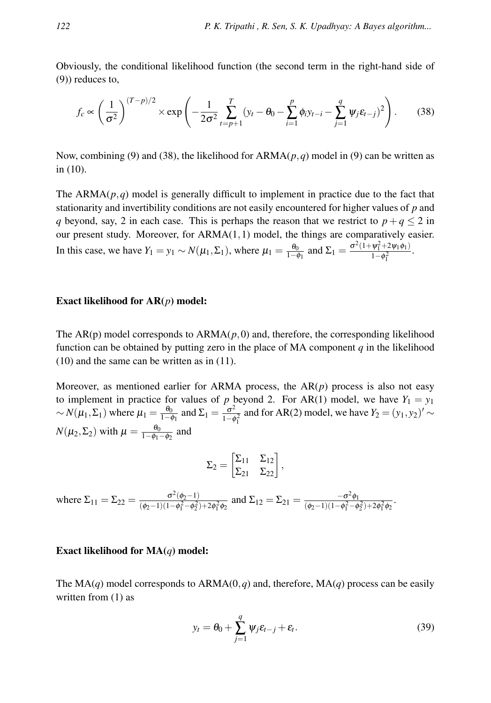Obviously, the conditional likelihood function (the second term in the right-hand side of (9)) reduces to,

$$
f_c \propto \left(\frac{1}{\sigma^2}\right)^{(T-p)/2} \times \exp\left(-\frac{1}{2\sigma^2} \sum_{t=p+1}^T (y_t - \theta_0 - \sum_{i=1}^p \phi_i y_{t-i} - \sum_{j=1}^q \psi_j \varepsilon_{t-j})^2\right).
$$
 (38)

Now, combining (9) and (38), the likelihood for ARMA(*p*,*q*) model in (9) can be written as in (10).

The  $ARMA(p,q)$  model is generally difficult to implement in practice due to the fact that stationarity and invertibility conditions are not easily encountered for higher values of *p* and *q* beyond, say, 2 in each case. This is perhaps the reason that we restrict to  $p + q \le 2$  in our present study. Moreover, for  $ARMA(1,1)$  model, the things are comparatively easier. In this case, we have  $Y_1 = y_1 \sim N(\mu_1, \Sigma_1)$ , where  $\mu_1 = \frac{\theta_0}{1 - \phi_1}$  and  $\Sigma_1 = \frac{\sigma^2(1 + \psi_1^2 + 2\psi_1\phi_1)}{1 - \phi_1^2}$  $\frac{\varphi_1 + 2\varphi_1 \varphi_1}{1 - \varphi_1^2}$ .

#### Exact likelihood for AR(*p*) model:

The AR(p) model corresponds to  $ARMA(p, 0)$  and, therefore, the corresponding likelihood function can be obtained by putting zero in the place of MA component *q* in the likelihood (10) and the same can be written as in (11).

Moreover, as mentioned earlier for ARMA process, the AR(*p*) process is also not easy to implement in practice for values of *p* beyond 2. For AR(1) model, we have  $Y_1 = y_1$  $\sim N(\mu_1, \Sigma_1)$  where  $\mu_1 = \frac{\theta_0}{1-\phi_1}$  and  $\Sigma_1 = \frac{\sigma^2}{1-\phi_1}$  $\frac{\sigma^2}{1-\phi_1^2}$  and for AR(2) model, we have  $Y_2 = (y_1, y_2)' \sim$ *N*( $\mu_2$ , Σ<sub>2</sub>) with  $\mu = \frac{\theta_0}{1 - \phi_1 - \phi_2}$  and

$$
\Sigma_2 = \begin{bmatrix} \Sigma_{11} & \Sigma_{12} \\ \Sigma_{21} & \Sigma_{22} \end{bmatrix},
$$

where  $\Sigma_{11} = \Sigma_{22} = \frac{\sigma^2(\phi_2 - 1)}{(\phi_2 - 1)(1 - \phi^2 - \phi^2)}$  $\frac{\sigma^2(\phi_2-1)}{(\phi_2-1)(1-\phi_1^2-\phi_2^2)+2\phi_1^2\phi_2}$  and  $\Sigma_{12} = \Sigma_{21} = \frac{-\sigma^2\phi_1}{(\phi_2-1)(1-\phi_1^2-\phi_2^2)}$  $\frac{-\mathbf{o}^2 \phi_1}{(\phi_2 - 1)(1 - \phi_1^2 - \phi_2^2) + 2\phi_1^2 \phi_2}.$ 

#### Exact likelihood for MA(*q*) model:

The  $MA(q)$  model corresponds to  $ARMA(0, q)$  and, therefore,  $MA(q)$  process can be easily written from (1) as

$$
y_t = \theta_0 + \sum_{j=1}^q \psi_j \varepsilon_{t-j} + \varepsilon_t.
$$
 (39)